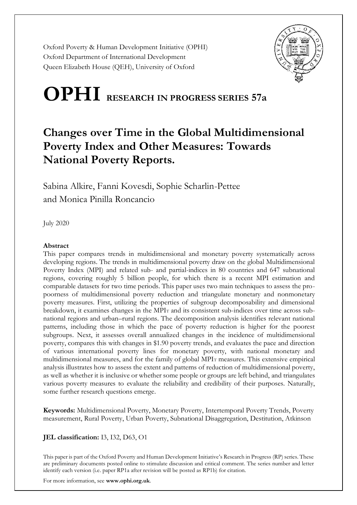Oxford Poverty & Human Development Initiative (OPHI) Oxford Department of International Development Queen Elizabeth House (QEH), University of Oxford



# **OPHI RESEARCH IN PROGRESS SERIES 57a**

# **Changes over Time in the Global Multidimensional Poverty Index and Other Measures: Towards National Poverty Reports.**

Sabina Alkire, Fanni Kovesdi, Sophie Scharlin-Pettee and Monica Pinilla Roncancio

July 2020

#### **Abstract**

This paper compares trends in multidimensional and monetary poverty systematically across developing regions. The trends in multidimensional poverty draw on the global Multidimensional Poverty Index (MPI) and related sub- and partial-indices in 80 countries and 647 subnational regions, covering roughly 5 billion people, for which there is a recent MPI estimation and comparable datasets for two time periods. This paper uses two main techniques to assess the propoorness of multidimensional poverty reduction and triangulate monetary and nonmonetary poverty measures. First, utilizing the properties of subgroup decomposability and dimensional breakdown, it examines changes in the MPI<sub>T</sub> and its consistent sub-indices over time across subnational regions and urban–rural regions. The decomposition analysis identifies relevant national patterns, including those in which the pace of poverty reduction is higher for the poorest subgroups. Next, it assesses overall annualized changes in the incidence of multidimensional poverty, compares this with changes in \$1.90 poverty trends, and evaluates the pace and direction of various international poverty lines for monetary poverty, with national monetary and multidimensional measures, and for the family of global MPI<sup>T</sup> measures. This extensive empirical analysis illustrates how to assess the extent and patterns of reduction of multidimensional poverty, as well as whether it is inclusive or whether some people or groups are left behind, and triangulates various poverty measures to evaluate the reliability and credibility of their purposes. Naturally, some further research questions emerge.

**Keywords:** Multidimensional Poverty, Monetary Poverty, Intertemporal Poverty Trends, Poverty measurement, Rural Poverty, Urban Poverty, Subnational Disaggregation, Destitution, Atkinson

#### **JEL classification:** I3, I32, D63, O1

This paper is part of the Oxford Poverty and Human Development Initiative's Research in Progress (RP) series. These are preliminary documents posted online to stimulate discussion and critical comment. The series number and letter identify each version (i.e. paper RP1a after revision will be posted as RP1b) for citation.

For more information, see **www.ophi.org.uk**.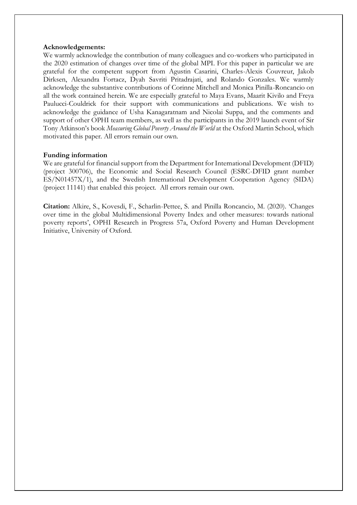#### **Acknowledgements:**

We warmly acknowledge the contribution of many colleagues and co-workers who participated in the 2020 estimation of changes over time of the global MPI. For this paper in particular we are grateful for the competent support from Agustin Casarini, Charles-Alexis Couvreur, Jakob Dirksen, Alexandra Fortacz, Dyah Savriti Pritadrajati, and Rolando Gonzales. We warmly acknowledge the substantive contributions of Corinne Mitchell and Monica Pinilla-Roncancio on all the work contained herein. We are especially grateful to Maya Evans, Maarit Kivilo and Freya Paulucci-Couldrick for their support with communications and publications. We wish to acknowledge the guidance of Usha Kanagaratnam and Nicolai Suppa, and the comments and support of other OPHI team members, as well as the participants in the 2019 launch event of Sir Tony Atkinson's book *Measuring Global Poverty Around the World* at the Oxford Martin School, which motivated this paper. All errors remain our own.

#### **Funding information**

We are grateful for financial support from the Department for International Development (DFID) (project 300706), the Economic and Social Research Council (ESRC-DFID grant number ES/N01457X/1), and the Swedish International Development Cooperation Agency (SIDA) (project 11141) that enabled this project. All errors remain our own.

**Citation:** Alkire, S., Kovesdi, F., Scharlin-Pettee, S. and Pinilla Roncancio, M. (2020). 'Changes over time in the global Multidimensional Poverty Index and other measures: towards national poverty reports', OPHI Research in Progress 57a, Oxford Poverty and Human Development Initiative, University of Oxford.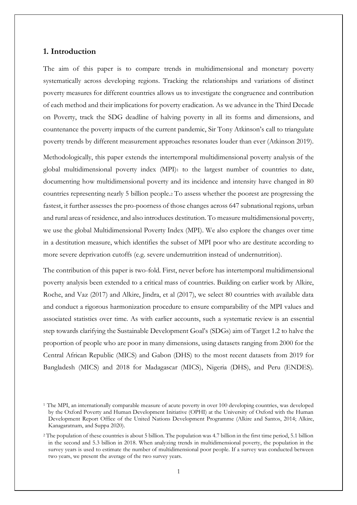### **1. Introduction**

The aim of this paper is to compare trends in multidimensional and monetary poverty systematically across developing regions. Tracking the relationships and variations of distinct poverty measures for different countries allows us to investigate the congruence and contribution of each method and their implications for poverty eradication. As we advance in the Third Decade on Poverty, track the SDG deadline of halving poverty in all its forms and dimensions, and countenance the poverty impacts of the current pandemic, Sir Tony Atkinson's call to triangulate poverty trends by different measurement approaches resonates louder than ever (Atkinson 2019).

Methodologically, this paper extends the intertemporal multidimensional poverty analysis of the global multidimensional poverty index  $(MPI)_1$  to the largest number of countries to date, documenting how multidimensional poverty and its incidence and intensity have changed in 80 countries representing nearly 5 billion people.<sup>2</sup> To assess whether the poorest are progressing the fastest, it further assesses the pro-poorness of those changes across 647 subnational regions, urban and rural areas of residence, and also introduces destitution. To measure multidimensional poverty, we use the global Multidimensional Poverty Index (MPI). We also explore the changes over time in a destitution measure, which identifies the subset of MPI poor who are destitute according to more severe deprivation cutoffs (e.g. severe undernutrition instead of undernutrition).

The contribution of this paper is two-fold. First, never before has intertemporal multidimensional poverty analysis been extended to a critical mass of countries. Building on earlier work by Alkire, Roche, and Vaz (2017) and Alkire, Jindra, et al (2017), we select 80 countries with available data and conduct a rigorous harmonization procedure to ensure comparability of the MPI values and associated statistics over time. As with earlier accounts, such a systematic review is an essential step towards clarifying the Sustainable Development Goal's (SDGs) aim of Target 1.2 to halve the proportion of people who are poor in many dimensions, using datasets ranging from 2000 for the Central African Republic (MICS) and Gabon (DHS) to the most recent datasets from 2019 for Bangladesh (MICS) and 2018 for Madagascar (MICS), Nigeria (DHS), and Peru (ENDES).

<sup>1</sup> The MPI, an internationally comparable measure of acute poverty in over 100 developing countries, was developed by the Oxford Poverty and Human Development Initiative (OPHI) at the University of Oxford with the Human Development Report Office of the United Nations Development Programme (Alkire and Santos, 2014; Alkire, Kanagaratnam, and Suppa 2020).

<sup>2</sup> The population of these countries is about 5 billion. The population was 4.7 billion in the first time period, 5.1 billion in the second and 5.3 billion in 2018. When analyzing trends in multidimensional poverty, the population in the survey years is used to estimate the number of multidimensional poor people. If a survey was conducted between two years, we present the average of the two survey years.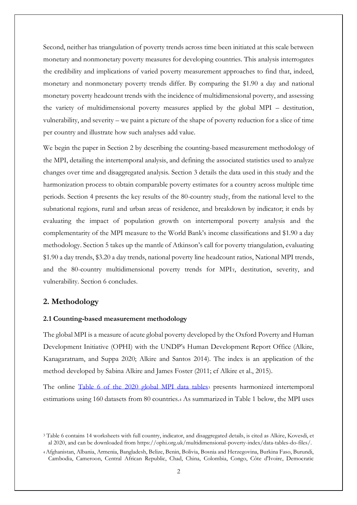Second, neither has triangulation of poverty trends across time been initiated at this scale between monetary and nonmonetary poverty measures for developing countries. This analysis interrogates the credibility and implications of varied poverty measurement approaches to find that, indeed, monetary and nonmonetary poverty trends differ. By comparing the \$1.90 a day and national monetary poverty headcount trends with the incidence of multidimensional poverty, and assessing the variety of multidimensional poverty measures applied by the global MPI – destitution, vulnerability, and severity – we paint a picture of the shape of poverty reduction for a slice of time per country and illustrate how such analyses add value.

We begin the paper in Section 2 by describing the counting-based measurement methodology of the MPI, detailing the intertemporal analysis, and defining the associated statistics used to analyze changes over time and disaggregated analysis. Section 3 details the data used in this study and the harmonization process to obtain comparable poverty estimates for a country across multiple time periods. Section 4 presents the key results of the 80-country study, from the national level to the subnational regions, rural and urban areas of residence, and breakdown by indicator; it ends by evaluating the impact of population growth on intertemporal poverty analysis and the complementarity of the MPI measure to the World Bank's income classifications and \$1.90 a day methodology. Section 5 takes up the mantle of Atkinson's call for poverty triangulation, evaluating \$1.90 a day trends, \$3.20 a day trends, national poverty line headcount ratios, National MPI trends, and the 80-country multidimensional poverty trends for MPIT, destitution, severity, and vulnerability. Section 6 concludes.

#### **2. Methodology**

#### **2.1 Counting-based measurement methodology**

The global MPI is a measure of acute global poverty developed by the Oxford Poverty and Human Development Initiative (OPHI) with the UNDP's Human Development Report Office (Alkire, Kanagaratnam, and Suppa 2020; Alkire and Santos 2014). The index is an application of the method developed by Sabina Alkire and James Foster (2011; cf Alkire et al., 2015).

The online [Table 6 of the 2020 global MPI data tables](https://ophi.org.uk/multidimensional-poverty-index/data-tables-do-files/)s presents harmonized intertemporal estimations using 160 datasets from 80 countries.<sup>4</sup> As summarized in Table 1 below, the MPI uses

<sup>3</sup> Table 6 contains 14 worksheets with full country, indicator, and disaggregated details, is cited as Alkire, Kovesdi, et al 2020, and can be downloaded from https://ophi.org.uk/multidimensional-poverty-index/data-tables-do-files/.

<sup>4</sup>Afghanistan, Albania, Armenia, Bangladesh, Belize, Benin, Bolivia, Bosnia and Herzegovina, Burkina Faso, Burundi, Cambodia, Cameroon, Central African Republic, Chad, China, Colombia, Congo, Côte d'Ivoire, Democratic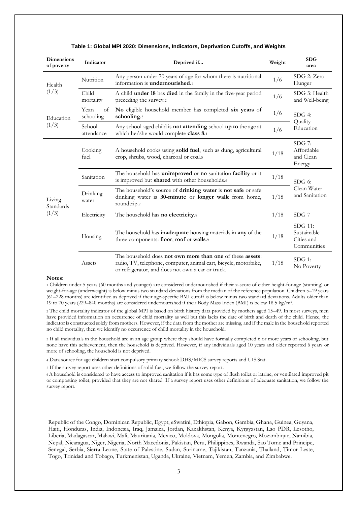| <b>Dimensions</b><br>of poverty | Indicator                | Deprived if                                                                                                                                                                        | Weight | <b>SDG</b><br>area                                  |
|---------------------------------|--------------------------|------------------------------------------------------------------------------------------------------------------------------------------------------------------------------------|--------|-----------------------------------------------------|
| Health                          | Nutrition                | Any person under 70 years of age for whom there is nutritional<br>information is undernourished.1                                                                                  | 1/6    | SDG 2: Zero<br>Hunger                               |
| (1/3)                           | Child<br>mortality       | A child <b>under 18</b> has <b>died</b> in the family in the five-year period<br>preceding the survey.                                                                             | 1/6    | SDG 3: Health<br>and Well-being                     |
| Education                       | Years<br>of<br>schooling | No eligible household member has completed six years of<br>schooling.3                                                                                                             | 1/6    | $SDG4$ :<br>Quality                                 |
| (1/3)                           | School<br>attendance     | Any school-aged child is <b>not attending</b> school up to the age at<br>which he/she would complete class 8.4                                                                     | 1/6    | Education                                           |
|                                 | Cooking<br>fuel          | A household cooks using <b>solid fuel</b> , such as dung, agricultural<br>crop, shrubs, wood, charcoal or coal.5                                                                   | 1/18   | $SDG$ 7:<br>Affordable<br>and Clean<br>Energy       |
|                                 | Sanitation               | The household has unimproved or no sanitation facility or it<br>is improved but shared with other households.6                                                                     | 1/18   | $SDG6$ :                                            |
| Living<br>Standards             | Drinking<br>water        | The household's source of drinking water is not safe or safe<br>drinking water is 30-minute or longer walk from home,<br>roundtrip.7                                               | 1/18   | Clean Water<br>and Sanitation                       |
| (1/3)                           | Electricity              | The household has no electricity.8                                                                                                                                                 | 1/18   | $SDG$ 7                                             |
|                                 | Housing                  | The household has inadequate housing materials in any of the<br>three components: floor, roof or walls.9                                                                           | 1/18   | SDG 11:<br>Sustainable<br>Cities and<br>Communities |
|                                 | Assets                   | The household does not own more than one of these assets:<br>radio, TV, telephone, computer, animal cart, bicycle, motorbike,<br>or refrigerator, and does not own a car or truck. | 1/18   | $SDG$ 1:<br>No Poverty                              |

#### **Table 1: Global MPI 2020: Dimensions, Indicators, Deprivation Cutoffs, and Weights**

#### **Notes:**

<sup>1</sup> Children under 5 years (60 months and younger) are considered undernourished if their z-score of either height-for-age (stunting) or weight-for-age (underweight) is below minus two standard deviations from the median of the reference population. Children 5–19 years (61–228 months) are identified as deprived if their age-specific BMI cutoff is below minus two standard deviations. Adults older than 19 to 70 years (229–840 months) are considered undernourished if their Body Mass Index (BMI) is below 18.5 kg/m².

<sup>2</sup> The child mortality indicator of the global MPI is based on birth history data provided by mothers aged 15–49. In most surveys, men have provided information on occurrence of child mortality as well but this lacks the date of birth and death of the child. Hence, the indicator is constructed solely from mothers. However, if the data from the mother are missing, and if the male in the household reported no child mortality, then we identify no occurrence of child mortality in the household.

3 If all individuals in the household are in an age group where they should have formally completed 6 or more years of schooling, but none have this achievement, then the household is deprived. However, if any individuals aged 10 years and older reported 6 years or more of schooling, the household is not deprived.

<sup>4</sup> Data source for age children start compulsory primary school: DHS/MICS survey reports and [UIS.Stat.](http://data.uis.unesco.org/)

<sup>5</sup> If the survey report uses other definitions of solid fuel, we follow the survey report.

<sup>6</sup>A household is considered to have access to improved sanitation if it has some type of flush toilet or latrine, or ventilated improved pit or composting toilet, provided that they are not shared. If a survey report uses other definitions of adequate sanitation, we follow the survey report.

Republic of the Congo, Dominican Republic, Egypt, eSwatini, Ethiopia, Gabon, Gambia, Ghana, Guinea, Guyana, Haiti, Honduras, India, Indonesia, Iraq, Jamaica, Jordan, Kazakhstan, Kenya, Kyrgyzstan, Lao PDR, Lesotho, Liberia, Madagascar, Malawi, Mali, Mauritania, Mexico, Moldova, Mongolia, Montenegro, Mozambique, Namibia, Nepal, Nicaragua, Niger, Nigeria, North Macedonia, Pakistan, Peru, Philippines, Rwanda, Sao Tome and Principe, Senegal, Serbia, Sierra Leone, State of Palestine, Sudan, Suriname, Tajikistan, Tanzania, Thailand, Timor-Leste, Togo, Trinidad and Tobago, Turkmenistan, Uganda, Ukraine, Vietnam, Yemen, Zambia, and Zimbabwe.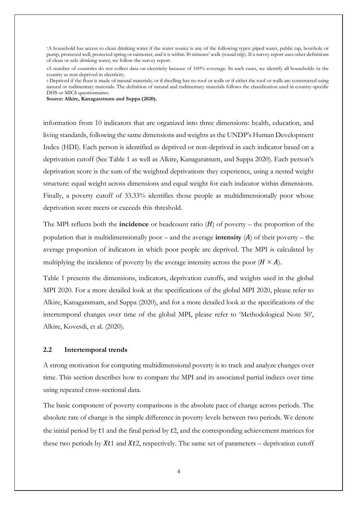<sup>7</sup>A household has access to clean drinking water if the water source is any of the following types: piped water, public tap, borehole or pump, protected well, protected spring or rainwater, and it is within 30 minutes' walk (round trip). If a survey report uses other definitions of clean or safe drinking water, we follow the survey report.

<sup>8</sup>A number of countries do not collect data on electricity because of 100% coverage. In such cases, we identify all households in the country as non-deprived in electricity.

<sup>9</sup> Deprived if the floor is made of natural materials; or if dwelling has no roof or walls or if either the roof or walls are constructed using natural or rudimentary materials. The definition of natural and rudimentary materials follows the classification used in country-specific DHS or MICS questionnaires.

**Source: Alkire, Kanagaratnam and Suppa (2020).**

information from 10 indicators that are organized into three dimensions: health, education, and living standards, following the same dimensions and weights as the UNDP's Human Development Index (HDI). Each person is identified as deprived or non-deprived in each indicator based on a deprivation cutoff (See Table 1 as well as Alkire, Kanagaratnam, and Suppa 2020). Each person's deprivation score is the sum of the weighted deprivations they experience, using a nested weight structure: equal weight across dimensions and equal weight for each indicator within dimensions. Finally, a poverty cutoff of 33.33% identifies those people as multidimensionally poor whose deprivation score meets or exceeds this threshold.

The MPI reflects both the **incidence** or headcount ratio  $(H)$  of poverty – the proportion of the population that is multidimensionally poor – and the average **intensity**  $(A)$  of their poverty – the average proportion of indicators in which poor people are deprived. The MPI is calculated by multiplying the incidence of poverty by the average intensity across the poor  $(H \times A)$ .

Table 1 presents the dimensions, indicators, deprivation cutoffs, and weights used in the global MPI 2020. For a more detailed look at the specifications of the global MPI 2020, please refer to Alkire, Kanagaratnam, and Suppa (2020), and for a more detailed look at the specifications of the intertemporal changes over time of the global MPI, please refer to 'Methodological Note 50', Alkire, Kovesdi, et al. (2020).

#### **2.2 Intertemporal trends**

A strong motivation for computing multidimensional poverty is to track and analyze changes over time. This section describes how to compare the MPI and its associated partial indices over time using repeated cross-sectional data.

The basic component of poverty comparisons is the absolute pace of change across periods. The absolute rate of change is the simple difference in poverty levels between two periods. We denote the initial period by  $t_1$  and the final period by  $t_2$ , and the corresponding achievement matrices for these two periods by  $Xt1$  and  $Xt2$ , respectively. The same set of parameters – deprivation cutoff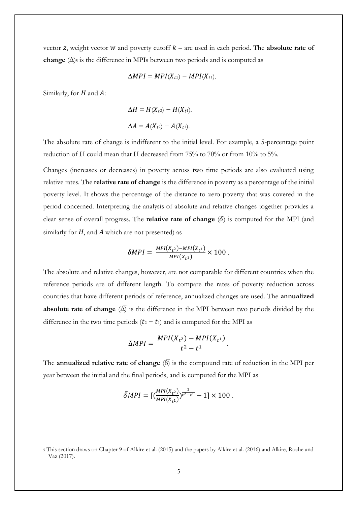vector z, weight vector  $W$  and poverty cutoff  $k$  – are used in each period. The **absolute rate of change**  $(\Delta)$ <sub>5</sub> is the difference in MPIs between two periods and is computed as

$$
\Delta MPI = MPI(X_{t^2}) - MPI(X_{t^1}).
$$

Similarly, for  $H$  and  $A$ :

$$
\Delta H = H(X_{t2}) - H(X_{t1}).
$$
  

$$
\Delta A = A(X_{t2}) - A(X_{t1}).
$$

The absolute rate of change is indifferent to the initial level. For example, a 5-percentage point reduction of H could mean that H decreased from 75% to 70% or from 10% to 5%.

Changes (increases or decreases) in poverty across two time periods are also evaluated using relative rates. The **relative rate of change** is the difference in poverty as a percentage of the initial poverty level. It shows the percentage of the distance to zero poverty that was covered in the period concerned. Interpreting the analysis of absolute and relative changes together provides a clear sense of overall progress. The **relative rate of change**  $(\delta)$  is computed for the MPI (and similarly for  $H$ , and  $\vec{A}$  which are not presented) as

$$
\delta MPI = \frac{MPI(X_{t^2}) - MPI(X_{t^1})}{MPI(X_{t^1})} \times 100.
$$

The absolute and relative changes, however, are not comparable for different countries when the reference periods are of different length. To compare the rates of poverty reduction across countries that have different periods of reference, annualized changes are used. The **annualized absolute rate of change**  $(\overline{\Delta})$  is the difference in the MPI between two periods divided by the difference in the two time periods  $(t_2 - t_1)$  and is computed for the MPI as

$$
\overline{\Delta}MPI = \frac{MPI(X_{t^2}) - MPI(X_{t^1})}{t^2 - t^1}.
$$

The **annualized relative rate of change**  $\langle \delta \rangle$  is the compound rate of reduction in the MPI per year between the initial and the final periods, and is computed for the MPI as

$$
\bar{\delta}MPI = \left[ \left( \frac{MPI(X_{t^2})}{MPI(X_{t^1})} \right)^{\frac{1}{t^2 - t^1}} - 1 \right] \times 100.
$$

<sup>5</sup> This section draws on Chapter 9 of Alkire et al. (2015) and the papers by Alkire et al. (2016) and Alkire, Roche and Vaz (2017).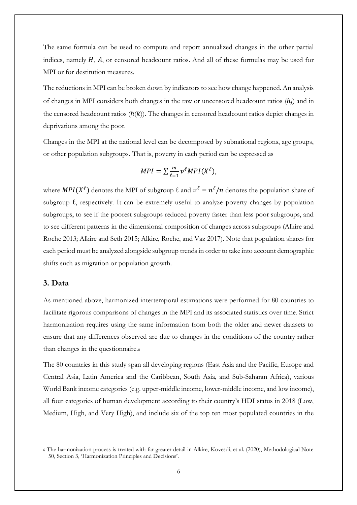The same formula can be used to compute and report annualized changes in the other partial indices, namely  $H$ ,  $A$ , or censored headcount ratios. And all of these formulas may be used for MPI or for destitution measures.

The reductions in MPI can be broken down by indicators to see how change happened. An analysis of changes in MPI considers both changes in the raw or uncensored headcount ratios  $(h_i)$  and in the censored headcount ratios  $(h(k))$ . The changes in censored headcount ratios depict changes in deprivations among the poor.

Changes in the MPI at the national level can be decomposed by subnational regions, age groups, or other population subgroups. That is, poverty in each period can be expressed as

$$
MPI = \sum_{\ell=1}^{m} v^{\ell} MPI(X^{\ell}),
$$

where  $MPI(X^{\ell})$  denotes the MPI of subgroup  $\ell$  and  $v^{\ell} = n^{\ell}/n$  denotes the population share of subgroup  $\ell$ , respectively. It can be extremely useful to analyze poverty changes by population subgroups, to see if the poorest subgroups reduced poverty faster than less poor subgroups, and to see different patterns in the dimensional composition of changes across subgroups (Alkire and Roche 2013; Alkire and Seth 2015; Alkire, Roche, and Vaz 2017). Note that population shares for each period must be analyzed alongside subgroup trends in order to take into account demographic shifts such as migration or population growth.

### **3. Data**

As mentioned above, harmonized intertemporal estimations were performed for 80 countries to facilitate rigorous comparisons of changes in the MPI and its associated statistics over time. Strict harmonization requires using the same information from both the older and newer datasets to ensure that any differences observed are due to changes in the conditions of the country rather than changes in the questionnaire.<sup>6</sup>

The 80 countries in this study span all developing regions (East Asia and the Pacific, Europe and Central Asia, Latin America and the Caribbean, South Asia, and Sub-Saharan Africa), various World Bank income categories (e.g. upper-middle income, lower-middle income, and low income), all four categories of human development according to their country's HDI status in 2018 (Low, Medium, High, and Very High), and include six of the top ten most populated countries in the

<sup>6</sup> The harmonization process is treated with far greater detail in Alkire, Kovesdi, et al. (2020), Methodological Note 50, Section 3, 'Harmonization Principles and Decisions'.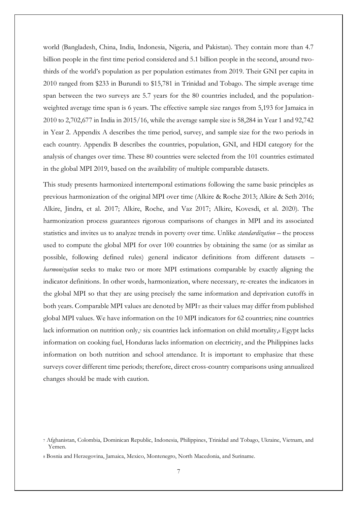world (Bangladesh, China, India, Indonesia, Nigeria, and Pakistan). They contain more than 4.7 billion people in the first time period considered and 5.1 billion people in the second, around twothirds of the world's population as per population estimates from 2019. Their GNI per capita in 2010 ranged from \$233 in Burundi to \$15,781 in Trinidad and Tobago. The simple average time span between the two surveys are 5.7 years for the 80 countries included, and the populationweighted average time span is 6 years. The effective sample size ranges from 5,193 for Jamaica in 2010 to 2,702,677 in India in 2015/16, while the average sample size is 58,284 in Year 1 and 92,742 in Year 2. Appendix A describes the time period, survey, and sample size for the two periods in each country. Appendix B describes the countries, population, GNI, and HDI category for the analysis of changes over time. These 80 countries were selected from the 101 countries estimated in the global MPI 2019, based on the availability of multiple comparable datasets.

This study presents harmonized intertemporal estimations following the same basic principles as previous harmonization of the original MPI over time (Alkire & Roche 2013; Alkire & Seth 2016; Alkire, Jindra, et al. 2017; Alkire, Roche, and Vaz 2017; Alkire, Kovesdi, et al. 2020). The harmonization process guarantees rigorous comparisons of changes in MPI and its associated statistics and invites us to analyze trends in poverty over time. Unlike *standardization* – the process used to compute the global MPI for over 100 countries by obtaining the same (or as similar as possible, following defined rules) general indicator definitions from different datasets – *harmonization* seeks to make two or more MPI estimations comparable by exactly aligning the indicator definitions. In other words, harmonization, where necessary, re-creates the indicators in the global MPI so that they are using precisely the same information and deprivation cutoffs in both years. Comparable MPI values are denoted by MPI<sup>T</sup> as their values may differ from published global MPI values. We have information on the 10 MPI indicators for 62 countries; nine countries lack information on nutrition only,7 six countries lack information on child mortality,8 Egypt lacks information on cooking fuel, Honduras lacks information on electricity, and the Philippines lacks information on both nutrition and school attendance. It is important to emphasize that these surveys cover different time periods; therefore, direct cross-country comparisons using annualized changes should be made with caution.

<sup>7</sup> Afghanistan, Colombia, Dominican Republic, Indonesia, Philippines, Trinidad and Tobago, Ukraine, Vietnam, and Yemen.

<sup>8</sup> Bosnia and Herzegovina, Jamaica, Mexico, Montenegro, North Macedonia, and Suriname.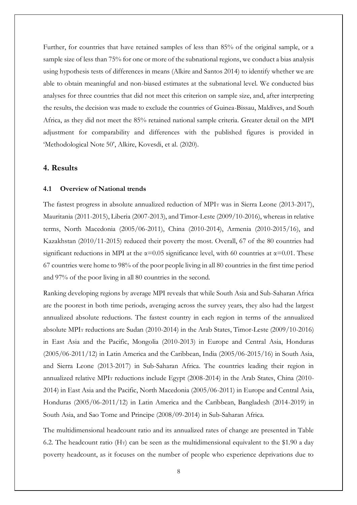Further, for countries that have retained samples of less than 85% of the original sample, or a sample size of less than 75% for one or more of the subnational regions, we conduct a bias analysis using hypothesis tests of differences in means (Alkire and Santos 2014) to identify whether we are able to obtain meaningful and non-biased estimates at the subnational level. We conducted bias analyses for three countries that did not meet this criterion on sample size, and, after interpreting the results, the decision was made to exclude the countries of Guinea-Bissau, Maldives, and South Africa, as they did not meet the 85% retained national sample criteria. Greater detail on the MPI adjustment for comparability and differences with the published figures is provided in 'Methodological Note 50', Alkire, Kovesdi, et al. (2020).

### **4. Results**

#### **4.1 Overview of National trends**

The fastest progress in absolute annualized reduction of MPIT was in Sierra Leone (2013-2017), Mauritania (2011-2015), Liberia (2007-2013), and Timor-Leste (2009/10-2016), whereas in relative terms, North Macedonia (2005/06-2011), China (2010-2014), Armenia (2010-2015/16), and Kazakhstan (2010/11-2015) reduced their poverty the most. Overall, 67 of the 80 countries had significant reductions in MPI at the  $\alpha$ =0.05 significance level, with 60 countries at  $\alpha$ =0.01. These 67 countries were home to 98% of the poor people living in all 80 countries in the first time period and 97% of the poor living in all 80 countries in the second.

Ranking developing regions by average MPI reveals that while South Asia and Sub-Saharan Africa are the poorest in both time periods, averaging across the survey years, they also had the largest annualized absolute reductions. The fastest country in each region in terms of the annualized absolute MPI<sup>T</sup> reductions are Sudan (2010-2014) in the Arab States, Timor-Leste (2009/10-2016) in East Asia and the Pacific, Mongolia (2010-2013) in Europe and Central Asia, Honduras (2005/06-2011/12) in Latin America and the Caribbean, India (2005/06-2015/16) in South Asia, and Sierra Leone (2013-2017) in Sub-Saharan Africa. The countries leading their region in annualized relative MPI<sup>T</sup> reductions include Egypt (2008-2014) in the Arab States, China (2010- 2014) in East Asia and the Pacific, North Macedonia (2005/06-2011) in Europe and Central Asia, Honduras (2005/06-2011/12) in Latin America and the Caribbean, Bangladesh (2014-2019) in South Asia, and Sao Tome and Principe (2008/09-2014) in Sub-Saharan Africa.

The multidimensional headcount ratio and its annualized rates of change are presented in Table 6.2. The headcount ratio (H<sub>T</sub>) can be seen as the multidimensional equivalent to the \$1.90 a day poverty headcount, as it focuses on the number of people who experience deprivations due to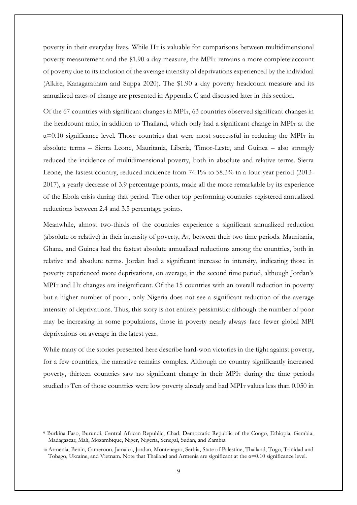poverty in their everyday lives. While H<sub>T</sub> is valuable for comparisons between multidimensional poverty measurement and the \$1.90 a day measure, the MPIT remains a more complete account of poverty due to its inclusion of the average intensity of deprivations experienced by the individual (Alkire, Kanagaratnam and Suppa 2020). The \$1.90 a day poverty headcount measure and its annualized rates of change are presented in Appendix C and discussed later in this section.

Of the 67 countries with significant changes in MPIT, 63 countries observed significant changes in the headcount ratio, in addition to Thailand, which only had a significant change in MPIT at the  $\alpha$ =0.10 significance level. Those countries that were most successful in reducing the MPIT in absolute terms – Sierra Leone, Mauritania, Liberia, Timor-Leste, and Guinea – also strongly reduced the incidence of multidimensional poverty, both in absolute and relative terms. Sierra Leone, the fastest country, reduced incidence from 74.1% to 58.3% in a four-year period (2013- 2017), a yearly decrease of 3.9 percentage points, made all the more remarkable by its experience of the Ebola crisis during that period. The other top performing countries registered annualized reductions between 2.4 and 3.5 percentage points.

Meanwhile, almost two-thirds of the countries experience a significant annualized reduction (absolute or relative) in their intensity of poverty, AT, between their two time periods. Mauritania, Ghana, and Guinea had the fastest absolute annualized reductions among the countries, both in relative and absolute terms. Jordan had a significant increase in intensity, indicating those in poverty experienced more deprivations, on average, in the second time period, although Jordan's MPI<sub>T</sub> and H<sub>T</sub> changes are insignificant. Of the 15 countries with an overall reduction in poverty but a higher number of poor9, only Nigeria does not see a significant reduction of the average intensity of deprivations. Thus, this story is not entirely pessimistic: although the number of poor may be increasing in some populations, those in poverty nearly always face fewer global MPI deprivations on average in the latest year.

While many of the stories presented here describe hard-won victories in the fight against poverty, for a few countries, the narrative remains complex. Although no country significantly increased poverty, thirteen countries saw no significant change in their MPI<sup>T</sup> during the time periods studied.<sup>10</sup> Ten of those countries were low poverty already and had MPI<sub>T</sub> values less than 0.050 in

<sup>9</sup> Burkina Faso, Burundi, Central African Republic, Chad, Democratic Republic of the Congo, Ethiopia, Gambia, Madagascar, Mali, Mozambique, Niger, Nigeria, Senegal, Sudan, and Zambia.

<sup>10</sup> Armenia, Benin, Cameroon, Jamaica, Jordan, Montenegro, Serbia, State of Palestine, Thailand, Togo, Trinidad and Tobago, Ukraine, and Vietnam. Note that Thailand and Armenia are significant at the  $\alpha$ =0.10 significance level.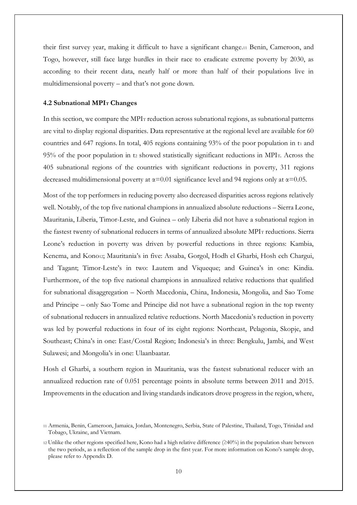their first survey year, making it difficult to have a significant change.<sup>11</sup> Benin, Cameroon, and Togo, however, still face large hurdles in their race to eradicate extreme poverty by 2030, as according to their recent data, nearly half or more than half of their populations live in multidimensional poverty – and that's not gone down.

#### **4.2 Subnational MPI<sup>T</sup> Changes**

In this section, we compare the MPI<sub>T</sub> reduction across subnational regions, as subnational patterns are vital to display regional disparities. Data representative at the regional level are available for 60 countries and 647 regions. In total, 405 regions containing  $93\%$  of the poor population in t<sub>1</sub> and 95% of the poor population in t<sup>2</sup> showed statistically significant reductions in MPIT. Across the 405 subnational regions of the countries with significant reductions in poverty, 311 regions decreased multidimensional poverty at  $\alpha$ =0.01 significance level and 94 regions only at  $\alpha$ =0.05.

Most of the top performers in reducing poverty also decreased disparities across regions relatively well. Notably, of the top five national champions in annualized absolute reductions – Sierra Leone, Mauritania, Liberia, Timor-Leste, and Guinea – only Liberia did not have a subnational region in the fastest twenty of subnational reducers in terms of annualized absolute MPIT reductions. Sierra Leone's reduction in poverty was driven by powerful reductions in three regions: Kambia, Kenema, and Kono12; Mauritania's in five: Assaba, Gorgol, Hodh el Gharbi, Hosh ech Chargui, and Tagant; Timor-Leste's in two: Lautem and Viqueque; and Guinea's in one: Kindia. Furthermore, of the top five national champions in annualized relative reductions that qualified for subnational disaggregation – North Macedonia, China, Indonesia, Mongolia, and Sao Tome and Principe – only Sao Tome and Principe did not have a subnational region in the top twenty of subnational reducers in annualized relative reductions. North Macedonia's reduction in poverty was led by powerful reductions in four of its eight regions: Northeast, Pelagonia, Skopje, and Southeast; China's in one: East/Costal Region; Indonesia's in three: Bengkulu, Jambi, and West Sulawesi; and Mongolia's in one: Ulaanbaatar.

Hosh el Gharbi, a southern region in Mauritania, was the fastest subnational reducer with an annualized reduction rate of 0.051 percentage points in absolute terms between 2011 and 2015. Improvements in the education and living standards indicators drove progress in the region, where,

<sup>11</sup> Armenia, Benin, Cameroon, Jamaica, Jordan, Montenegro, Serbia, State of Palestine, Thailand, Togo, Trinidad and Tobago, Ukraine, and Vietnam.

<sup>12</sup> Unlike the other regions specified here, Kono had a high relative difference (≥40%) in the population share between the two periods, as a reflection of the sample drop in the first year. For more information on Kono's sample drop, please refer to Appendix D.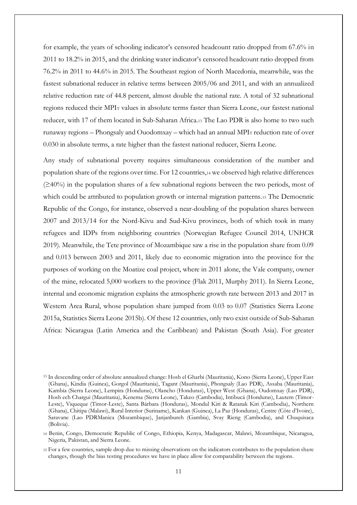for example, the years of schooling indicator's censored headcount ratio dropped from 67.6% in 2011 to 18.2% in 2015, and the drinking water indicator's censored headcount ratio dropped from 76.2% in 2011 to 44.6% in 2015. The Southeast region of North Macedonia, meanwhile, was the fastest subnational reducer in relative terms between 2005/06 and 2011, and with an annualized relative reduction rate of 44.8 percent, almost double the national rate. A total of 32 subnational regions reduced their MPI<sup>T</sup> values in absolute terms faster than Sierra Leone, our fastest national reducer, with 17 of them located in Sub-Saharan Africa.<sup>13</sup> The Lao PDR is also home to two such runaway regions – Phongsaly and Ouodomxay – which had an annual MPI<sup>T</sup> reduction rate of over 0.030 in absolute terms, a rate higher than the fastest national reducer, Sierra Leone.

Any study of subnational poverty requires simultaneous consideration of the number and population share of the regions over time. For 12 countries,<sup>14</sup> we observed high relative differences (≥40%) in the population shares of a few subnational regions between the two periods, most of which could be attributed to population growth or internal migration patterns.<sup>15</sup> The Democratic Republic of the Congo, for instance, observed a near-doubling of the population shares between 2007 and 2013/14 for the Nord-Kivu and Sud-Kivu provinces, both of which took in many refugees and IDPs from neighboring countries (Norwegian Refugee Council 2014, UNHCR 2019). Meanwhile, the Tete province of Mozambique saw a rise in the population share from 0.09 and 0.013 between 2003 and 2011, likely due to economic migration into the province for the purposes of working on the Moatize coal project, where in 2011 alone, the Vale company, owner of the mine, relocated 5,000 workers to the province (Flak 2011, Murphy 2011). In Sierra Leone, internal and economic migration explains the atmospheric growth rate between 2013 and 2017 in Western Area Rural, whose population share jumped from 0.03 to 0.07 (Statistics Sierra Leone 2015a, Statistics Sierra Leone 2015b). Of these 12 countries, only two exist outside of Sub-Saharan Africa: Nicaragua (Latin America and the Caribbean) and Pakistan (South Asia). For greater

<sup>13</sup> In descending order of absolute annualized change: Hosh el Gharbi (Mauritania), Kono (Sierra Leone), Upper East (Ghana), Kindia (Guinea), Gorgol (Mauritania), Tagant (Mauritania), Phongsaly (Lao PDR), Assaba (Mauritania), Kambia (Sierra Leone), Lempira (Honduras), Olancho (Honduras), Upper West (Ghana), Oudomxay (Lao PDR), Hosh ech Chargui (Mauritania), Kenema (Sierra Leone), Takeo (Cambodia), Intibucá (Honduras), Lautem (Timor-Leste), Viqueque (Timor-Leste), Santa Bárbara (Honduras), Mondul Kiri & Ratanak Kiri (Cambodia), Northern (Ghana), Chitipa (Malawi), Rural Interior (Suriname), Kankan (Guinea), La Paz (Honduras), Centre (Côte d'Ivoire), Saravane (Lao PDRManica (Mozambique), Janjanbureh (Gambia), Svay Rieng (Cambodia), and Chuquisaca (Bolivia).

<sup>14</sup> Benin, Congo, Democratic Republic of Congo, Ethiopia, Kenya, Madagascar, Malawi, Mozambique, Nicaragua, Nigeria, Pakistan, and Sierra Leone.

<sup>15</sup> For a few countries, sample drop due to missing observations on the indicators contributes to the population share changes, though the bias testing procedures we have in place allow for comparability between the regions.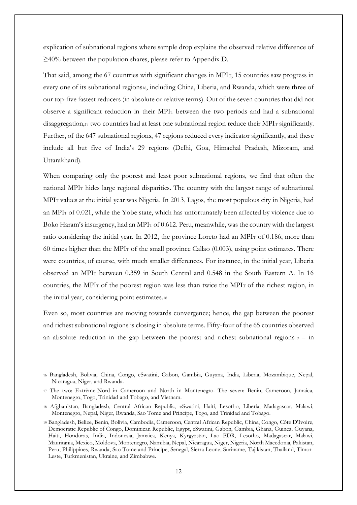explication of subnational regions where sample drop explains the observed relative difference of ≥40% between the population shares, please refer to Appendix D.

That said, among the 67 countries with significant changes in MPIT, 15 countries saw progress in every one of its subnational regions16, including China, Liberia, and Rwanda, which were three of our top-five fastest reducers (in absolute or relative terms). Out of the seven countries that did not observe a significant reduction in their MPI<sup>T</sup> between the two periods and had a subnational disaggregation,<sup>17</sup> two countries had at least one subnational region reduce their MPI<sub>T</sub> significantly. Further, of the 647 subnational regions, 47 regions reduced every indicator significantly, and these include all but five of India's 29 regions (Delhi, Goa, Himachal Pradesh, Mizoram, and Uttarakhand).

When comparing only the poorest and least poor subnational regions, we find that often the national MPI<sup>T</sup> hides large regional disparities. The country with the largest range of subnational MPI<sup>T</sup> values at the initial year was Nigeria. In 2013, Lagos, the most populous city in Nigeria, had an MPI<sup>T</sup> of 0.021, while the Yobe state, which has unfortunately been affected by violence due to Boko Haram's insurgency, had an MPI<sub>T</sub> of 0.612. Peru, meanwhile, was the country with the largest ratio considering the initial year. In 2012, the province Loreto had an MPIT of 0.186, more than 60 times higher than the MPI<sup>T</sup> of the small province Callao (0.003), using point estimates. There were countries, of course, with much smaller differences. For instance, in the initial year, Liberia observed an MPI<sup>T</sup> between 0.359 in South Central and 0.548 in the South Eastern A. In 16 countries, the MPI<sup>T</sup> of the poorest region was less than twice the MPI<sup>T</sup> of the richest region, in the initial year, considering point estimates.<sup>18</sup>

Even so, most countries are moving towards convergence; hence, the gap between the poorest and richest subnational regions is closing in absolute terms. Fifty-four of the 65 countries observed an absolute reduction in the gap between the poorest and richest subnational regions $19 - in$ 

<sup>16</sup> Bangladesh, Bolivia, China, Congo, eSwatini, Gabon, Gambia, Guyana, India, Liberia, Mozambique, Nepal, Nicaragua, Niger, and Rwanda.

<sup>17</sup> The two: Extrême-Nord in Cameroon and North in Montenegro. The seven: Benin, Cameroon, Jamaica, Montenegro, Togo, Trinidad and Tobago, and Vietnam.

<sup>18</sup> Afghanistan, Bangladesh, Central African Republic, eSwatini, Haiti, Lesotho, Liberia, Madagascar, Malawi, Montenegro, Nepal, Niger, Rwanda, Sao Tome and Principe, Togo, and Trinidad and Tobago.

<sup>19</sup> Bangladesh, Belize, Benin, Bolivia, Cambodia, Cameroon, Central African Republic, China, Congo, Côte D'Ivoire, Democratic Republic of Congo, Dominican Republic, Egypt, eSwatini, Gabon, Gambia, Ghana, Guinea, Guyana, Haiti, Honduras, India, Indonesia, Jamaica, Kenya, Kyrgyzstan, Lao PDR, Lesotho, Madagascar, Malawi, Mauritania, Mexico, Moldova, Montenegro, Namibia, Nepal, Nicaragua, Niger, Nigeria, North Macedonia, Pakistan, Peru, Philippines, Rwanda, Sao Tome and Principe, Senegal, Sierra Leone, Suriname, Tajikistan, Thailand, Timor-Leste, Turkmenistan, Ukraine, and Zimbabwe.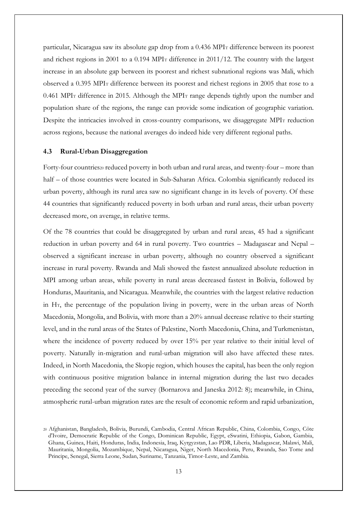particular, Nicaragua saw its absolute gap drop from a 0.436 MPI<sup>T</sup> difference between its poorest and richest regions in 2001 to a 0.194 MPI<sup>T</sup> difference in 2011/12. The country with the largest increase in an absolute gap between its poorest and richest subnational regions was Mali, which observed a 0.395 MPI<sup>T</sup> difference between its poorest and richest regions in 2005 that rose to a 0.461 MPI<sup>T</sup> difference in 2015. Although the MPI<sup>T</sup> range depends tightly upon the number and population share of the regions, the range can provide some indication of geographic variation. Despite the intricacies involved in cross-country comparisons, we disaggregate MPIT reduction across regions, because the national averages do indeed hide very different regional paths.

#### **4.3 Rural-Urban Disaggregation**

Forty-four countries<sub>20</sub> reduced poverty in both urban and rural areas, and twenty-four – more than half – of those countries were located in Sub-Saharan Africa. Colombia significantly reduced its urban poverty, although its rural area saw no significant change in its levels of poverty. Of these 44 countries that significantly reduced poverty in both urban and rural areas, their urban poverty decreased more, on average, in relative terms.

Of the 78 countries that could be disaggregated by urban and rural areas, 45 had a significant reduction in urban poverty and 64 in rural poverty. Two countries – Madagascar and Nepal – observed a significant increase in urban poverty, although no country observed a significant increase in rural poverty. Rwanda and Mali showed the fastest annualized absolute reduction in MPI among urban areas, while poverty in rural areas decreased fastest in Bolivia, followed by Honduras, Mauritania, and Nicaragua. Meanwhile, the countries with the largest relative reduction in HT, the percentage of the population living in poverty, were in the urban areas of North Macedonia, Mongolia, and Bolivia, with more than a 20% annual decrease relative to their starting level, and in the rural areas of the States of Palestine, North Macedonia, China, and Turkmenistan, where the incidence of poverty reduced by over 15% per year relative to their initial level of poverty. Naturally in-migration and rural-urban migration will also have affected these rates. Indeed, in North Macedonia, the Skopje region, which houses the capital, has been the only region with continuous positive migration balance in internal migration during the last two decades preceding the second year of the survey (Bornarova and Janeska 2012: 8); meanwhile, in China, atmospheric rural-urban migration rates are the result of economic reform and rapid urbanization,

<sup>20</sup> Afghanistan, Bangladesh, Bolivia, Burundi, Cambodia, Central African Republic, China, Colombia, Congo, Côte d'Ivoire, Democratic Republic of the Congo, Dominican Republic, Egypt, eSwatini, Ethiopia, Gabon, Gambia, Ghana, Guinea, Haiti, Honduras, India, Indonesia, Iraq, Kyrgyzstan, Lao PDR, Liberia, Madagascar, Malawi, Mali, Mauritania, Mongolia, Mozambique, Nepal, Nicaragua, Niger, North Macedonia, Peru, Rwanda, Sao Tome and Principe, Senegal, Sierra Leone, Sudan, Suriname, Tanzania, Timor-Leste, and Zambia.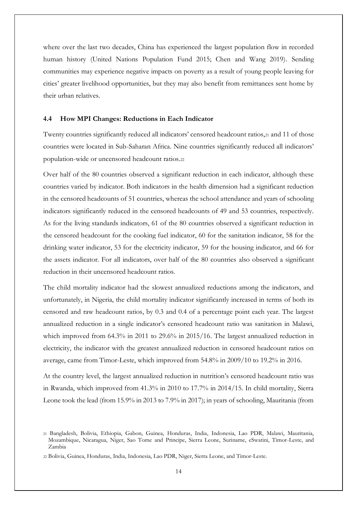where over the last two decades, China has experienced the largest population flow in recorded human history (United Nations Population Fund 2015; Chen and Wang 2019). Sending communities may experience negative impacts on poverty as a result of young people leaving for cities' greater livelihood opportunities, but they may also benefit from remittances sent home by their urban relatives.

#### **4.4 How MPI Changes: Reductions in Each Indicator**

Twenty countries significantly reduced all indicators' censored headcount ratios,<sup>21</sup> and 11 of those countries were located in Sub-Saharan Africa. Nine countries significantly reduced all indicators' population-wide or uncensored headcount ratios.<sup>22</sup>

Over half of the 80 countries observed a significant reduction in each indicator, although these countries varied by indicator. Both indicators in the health dimension had a significant reduction in the censored headcounts of 51 countries, whereas the school attendance and years of schooling indicators significantly reduced in the censored headcounts of 49 and 53 countries, respectively. As for the living standards indicators, 61 of the 80 countries observed a significant reduction in the censored headcount for the cooking fuel indicator, 60 for the sanitation indicator, 58 for the drinking water indicator, 53 for the electricity indicator, 59 for the housing indicator, and 66 for the assets indicator. For all indicators, over half of the 80 countries also observed a significant reduction in their uncensored headcount ratios.

The child mortality indicator had the slowest annualized reductions among the indicators, and unfortunately, in Nigeria, the child mortality indicator significantly increased in terms of both its censored and raw headcount ratios, by 0.3 and 0.4 of a percentage point each year. The largest annualized reduction in a single indicator's censored headcount ratio was sanitation in Malawi, which improved from 64.3% in 2011 to 29.6% in 2015/16. The largest annualized reduction in electricity, the indicator with the greatest annualized reduction in censored headcount ratios on average, came from Timor-Leste, which improved from 54.8% in 2009/10 to 19.2% in 2016.

At the country level, the largest annualized reduction in nutrition's censored headcount ratio was in Rwanda, which improved from 41.3% in 2010 to 17.7% in 2014/15. In child mortality, Sierra Leone took the lead (from 15.9% in 2013 to 7.9% in 2017); in years of schooling, Mauritania (from

<sup>21</sup> Bangladesh, Bolivia, Ethiopia, Gabon, Guinea, Honduras, India, Indonesia, Lao PDR, Malawi, Mauritania, Mozambique, Nicaragua, Niger, Sao Tome and Principe, Sierra Leone, Suriname, eSwatini, Timor-Leste, and Zambia

<sup>22</sup> Bolivia, Guinea, Honduras, India, Indonesia, Lao PDR, Niger, Sierra Leone, and Timor-Leste.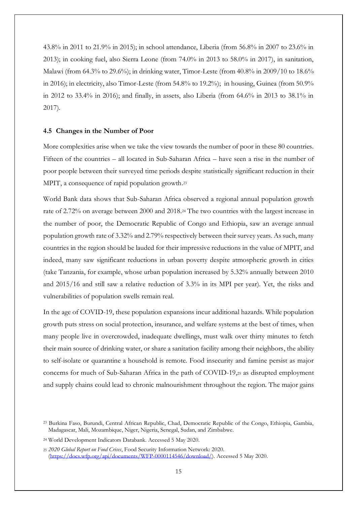43.8% in 2011 to 21.9% in 2015); in school attendance, Liberia (from 56.8% in 2007 to 23.6% in 2013); in cooking fuel, also Sierra Leone (from 74.0% in 2013 to 58.0% in 2017), in sanitation, Malawi (from 64.3% to 29.6%); in drinking water, Timor-Leste (from 40.8% in 2009/10 to 18.6% in 2016); in electricity, also Timor-Leste (from 54.8% to 19.2%); in housing, Guinea (from 50.9% in 2012 to 33.4% in 2016); and finally, in assets, also Liberia (from 64.6% in 2013 to 38.1% in 2017).

#### **4.5 Changes in the Number of Poor**

More complexities arise when we take the view towards the number of poor in these 80 countries. Fifteen of the countries – all located in Sub-Saharan Africa – have seen a rise in the number of poor people between their surveyed time periods despite statistically significant reduction in their MPIT, a consequence of rapid population growth. 23

World Bank data shows that Sub-Saharan Africa observed a regional annual population growth rate of 2.72% on average between 2000 and 2018.<sup>24</sup> The two countries with the largest increase in the number of poor, the Democratic Republic of Congo and Ethiopia, saw an average annual population growth rate of 3.32% and 2.79% respectively between their survey years. As such, many countries in the region should be lauded for their impressive reductions in the value of MPIT, and indeed, many saw significant reductions in urban poverty despite atmospheric growth in cities (take Tanzania, for example, whose urban population increased by 5.32% annually between 2010 and 2015/16 and still saw a relative reduction of 3.3% in its MPI per year). Yet, the risks and vulnerabilities of population swells remain real.

In the age of COVID-19, these population expansions incur additional hazards. While population growth puts stress on social protection, insurance, and welfare systems at the best of times, when many people live in overcrowded, inadequate dwellings, must walk over thirty minutes to fetch their main source of drinking water, or share a sanitation facility among their neighbors, the ability to self-isolate or quarantine a household is remote. Food insecurity and famine persist as major concerns for much of Sub-Saharan Africa in the path of COVID-19,<sup>25</sup> as disrupted employment and supply chains could lead to chronic malnourishment throughout the region. The major gains

<sup>23</sup> Burkina Faso, Burundi, Central African Republic, Chad, Democratic Republic of the Congo, Ethiopia, Gambia, Madagascar, Mali, Mozambique, Niger, Nigeria, Senegal, Sudan, and Zimbabwe.

<sup>24</sup> World Development Indicators Databank. Accessed 5 May 2020.

<sup>25</sup> *2020 Global Report on Food Crises*, Food Security Information Network: 2020. [\(https://docs.wfp.org/api/documents/WFP-0000114546/download/\)](https://docs.wfp.org/api/documents/WFP-0000114546/download/). Accessed 5 May 2020.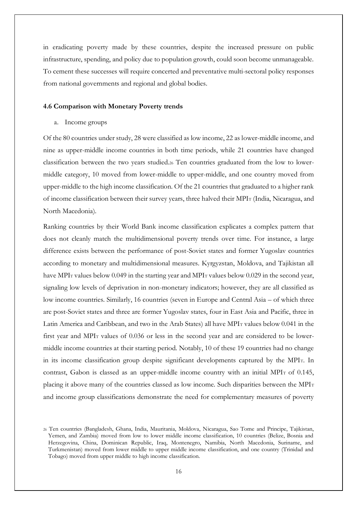in eradicating poverty made by these countries, despite the increased pressure on public infrastructure, spending, and policy due to population growth, could soon become unmanageable. To cement these successes will require concerted and preventative multi-sectoral policy responses from national governments and regional and global bodies.

#### **4.6 Comparison with Monetary Poverty trends**

a. Income groups

Of the 80 countries under study, 28 were classified as low income, 22 as lower-middle income, and nine as upper-middle income countries in both time periods, while 21 countries have changed classification between the two years studied.<sup>26</sup> Ten countries graduated from the low to lowermiddle category, 10 moved from lower-middle to upper-middle, and one country moved from upper-middle to the high income classification. Of the 21 countries that graduated to a higher rank of income classification between their survey years, three halved their MPI<sup>T</sup> (India, Nicaragua, and North Macedonia).

Ranking countries by their World Bank income classification explicates a complex pattern that does not cleanly match the multidimensional poverty trends over time. For instance, a large difference exists between the performance of post-Soviet states and former Yugoslav countries according to monetary and multidimensional measures. Kyrgyzstan, Moldova, and Tajikistan all have MPI<sub>T</sub> values below 0.049 in the starting year and MPI<sub>T</sub> values below 0.029 in the second year, signaling low levels of deprivation in non-monetary indicators; however, they are all classified as low income countries. Similarly, 16 countries (seven in Europe and Central Asia – of which three are post-Soviet states and three are former Yugoslav states, four in East Asia and Pacific, three in Latin America and Caribbean, and two in the Arab States) all have MPI<sup>T</sup> values below 0.041 in the first year and MPIT values of 0.036 or less in the second year and are considered to be lowermiddle income countries at their starting period. Notably, 10 of these 19 countries had no change in its income classification group despite significant developments captured by the MPIT. In contrast, Gabon is classed as an upper-middle income country with an initial MPIT of 0.145, placing it above many of the countries classed as low income. Such disparities between the MPIT and income group classifications demonstrate the need for complementary measures of poverty

<sup>26</sup> Ten countries (Bangladesh, Ghana, India, Mauritania, Moldova, Nicaragua, Sao Tome and Principe, Tajikistan, Yemen, and Zambia) moved from low to lower middle income classification, 10 countries (Belize, Bosnia and Herzegovina, China, Dominican Republic, Iraq, Montenegro, Namibia, North Macedonia, Suriname, and Turkmenistan) moved from lower middle to upper middle income classification, and one country (Trinidad and Tobago) moved from upper middle to high income classification.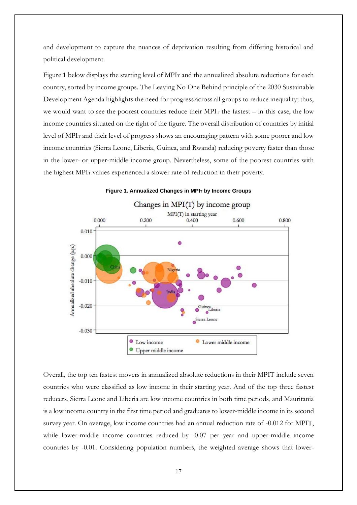and development to capture the nuances of deprivation resulting from differing historical and political development.

Figure 1 below displays the starting level of MPI<sub>T</sub> and the annualized absolute reductions for each country, sorted by income groups. The Leaving No One Behind principle of the 2030 Sustainable Development Agenda highlights the need for progress across all groups to reduce inequality; thus, we would want to see the poorest countries reduce their MPI<sub>T</sub> the fastest – in this case, the low income countries situated on the right of the figure. The overall distribution of countries by initial level of MPI<sup>T</sup> and their level of progress shows an encouraging pattern with some poorer and low income countries (Sierra Leone, Liberia, Guinea, and Rwanda) reducing poverty faster than those in the lower- or upper-middle income group. Nevertheless, some of the poorest countries with the highest MPI<sup>T</sup> values experienced a slower rate of reduction in their poverty.



#### **Figure 1. Annualized Changes in MPI<sup>T</sup> by Income Groups**

Overall, the top ten fastest movers in annualized absolute reductions in their MPIT include seven countries who were classified as low income in their starting year. And of the top three fastest reducers, Sierra Leone and Liberia are low income countries in both time periods, and Mauritania is a low income country in the first time period and graduates to lower-middle income in its second survey year. On average, low income countries had an annual reduction rate of -0.012 for MPIT, while lower-middle income countries reduced by -0.07 per year and upper-middle income countries by -0.01. Considering population numbers, the weighted average shows that lower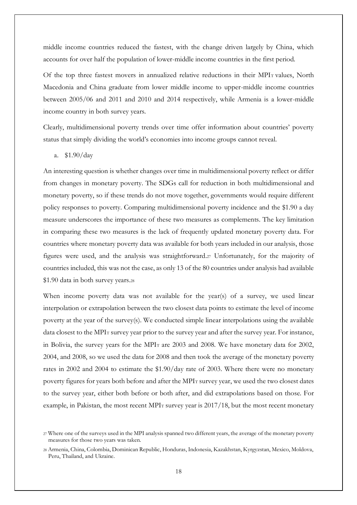middle income countries reduced the fastest, with the change driven largely by China, which accounts for over half the population of lower-middle income countries in the first period.

Of the top three fastest movers in annualized relative reductions in their MPIT values, North Macedonia and China graduate from lower middle income to upper-middle income countries between 2005/06 and 2011 and 2010 and 2014 respectively, while Armenia is a lower-middle income country in both survey years.

Clearly, multidimensional poverty trends over time offer information about countries' poverty status that simply dividing the world's economies into income groups cannot reveal.

a. \$1.90/day

An interesting question is whether changes over time in multidimensional poverty reflect or differ from changes in monetary poverty. The SDGs call for reduction in both multidimensional and monetary poverty, so if these trends do not move together, governments would require different policy responses to poverty. Comparing multidimensional poverty incidence and the \$1.90 a day measure underscores the importance of these two measures as complements. The key limitation in comparing these two measures is the lack of frequently updated monetary poverty data. For countries where monetary poverty data was available for both years included in our analysis, those figures were used, and the analysis was straightforward.<sup>27</sup> Unfortunately, for the majority of countries included, this was not the case, as only 13 of the 80 countries under analysis had available \$1.90 data in both survey years.<sup>28</sup>

When income poverty data was not available for the year(s) of a survey, we used linear interpolation or extrapolation between the two closest data points to estimate the level of income poverty at the year of the survey(s). We conducted simple linear interpolations using the available data closest to the MPI<sub>T</sub> survey year prior to the survey year and after the survey year. For instance, in Bolivia, the survey years for the MPI<sup>T</sup> are 2003 and 2008. We have monetary data for 2002, 2004, and 2008, so we used the data for 2008 and then took the average of the monetary poverty rates in 2002 and 2004 to estimate the \$1.90/day rate of 2003. Where there were no monetary poverty figures for years both before and after the MPIT survey year, we used the two closest dates to the survey year, either both before or both after, and did extrapolations based on those. For example, in Pakistan, the most recent MPI<sub>T</sub> survey year is 2017/18, but the most recent monetary

<sup>27</sup> Where one of the surveys used in the MPI analysis spanned two different years, the average of the monetary poverty measures for those two years was taken.

<sup>28</sup> Armenia, China, Colombia, Dominican Republic, Honduras, Indonesia, Kazakhstan, Kyrgyzstan, Mexico, Moldova, Peru, Thailand, and Ukraine.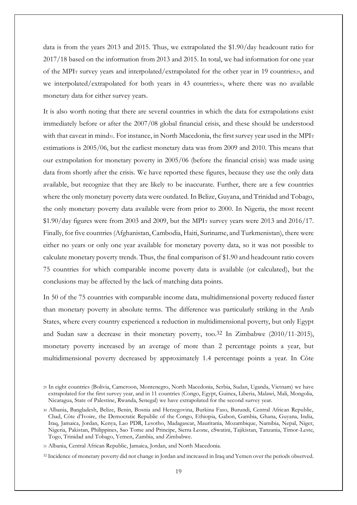data is from the years 2013 and 2015. Thus, we extrapolated the \$1.90/day headcount ratio for 2017/18 based on the information from 2013 and 2015. In total, we had information for one year of the MPI<sup>T</sup> survey years and interpolated/extrapolated for the other year in 19 countries29, and we interpolated/extrapolated for both years in 43 countries30, where there was no available monetary data for either survey years.

It is also worth noting that there are several countries in which the data for extrapolations exist immediately before or after the 2007/08 global financial crisis, and these should be understood with that caveat in mind31. For instance, in North Macedonia, the first survey year used in the MPIT estimations is 2005/06, but the earliest monetary data was from 2009 and 2010. This means that our extrapolation for monetary poverty in 2005/06 (before the financial crisis) was made using data from shortly after the crisis. We have reported these figures, because they use the only data available, but recognize that they are likely to be inaccurate. Further, there are a few countries where the only monetary poverty data were outdated. In Belize, Guyana, and Trinidad and Tobago, the only monetary poverty data available were from prior to 2000. In Nigeria, the most recent  $$1.90/day$  figures were from 2003 and 2009, but the MPIT survey years were 2013 and 2016/17. Finally, for five countries (Afghanistan, Cambodia, Haiti, Suriname, and Turkmenistan), there were either no years or only one year available for monetary poverty data, so it was not possible to calculate monetary poverty trends. Thus, the final comparison of \$1.90 and headcount ratio covers 75 countries for which comparable income poverty data is available (or calculated), but the conclusions may be affected by the lack of matching data points.

In 50 of the 75 countries with comparable income data, multidimensional poverty reduced faster than monetary poverty in absolute terms. The difference was particularly striking in the Arab States, where every country experienced a reduction in multidimensional poverty, but only Egypt and Sudan saw a decrease in their monetary poverty, too.32 In Zimbabwe (2010/11-2015), monetary poverty increased by an average of more than 2 percentage points a year, but multidimensional poverty decreased by approximately 1.4 percentage points a year. In Côte

<sup>29</sup> In eight countries (Bolivia, Cameroon, Montenegro, North Macedonia, Serbia, Sudan, Uganda, Vietnam) we have extrapolated for the first survey year, and in 11 countries (Congo, Egypt, Guinea, Liberia, Malawi, Mali, Mongolia, Nicaragua, State of Palestine, Rwanda, Senegal) we have extrapolated for the second survey year.

<sup>30</sup> Albania, Bangladesh, Belize, Benin, Bosnia and Herzegovina, Burkina Faso, Burundi, Central African Republic, Chad, Côte d'Ivoire, the Democratic Republic of the Congo, Ethiopia, Gabon, Gambia, Ghana, Guyana, India, Iraq, Jamaica, Jordan, Kenya, Lao PDR, Lesotho, Madagascar, Mauritania, Mozambique, Namibia, Nepal, Niger, Nigeria, Pakistan, Philippines, Sao Tome and Principe, Sierra Leone, eSwatini, Tajikistan, Tanzania, Timor-Leste, Togo, Trinidad and Tobago, Yemen, Zambia, and Zimbabwe.

<sup>31</sup> Albania, Central African Republic, Jamaica, Jordan, and North Macedonia.

<sup>32</sup> Incidence of monetary poverty did not change in Jordan and increased in Iraq and Yemen over the periods observed.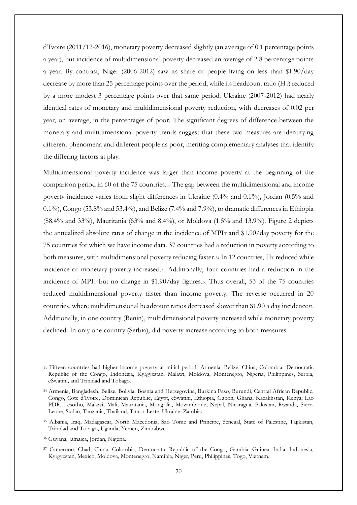d'Ivoire (2011/12-2016), monetary poverty decreased slightly (an average of 0.1 percentage points a year), but incidence of multidimensional poverty decreased an average of 2.8 percentage points a year. By contrast, Niger (2006-2012) saw its share of people living on less than \$1.90/day decrease by more than 25 percentage points over the period, while its headcount ratio (HT) reduced by a more modest 3 percentage points over that same period. Ukraine (2007-2012) had nearly identical rates of monetary and multidimensional poverty reduction, with decreases of 0.02 per year, on average, in the percentages of poor. The significant degrees of difference between the monetary and multidimensional poverty trends suggest that these two measures are identifying different phenomena and different people as poor, meriting complementary analyses that identify the differing factors at play.

Multidimensional poverty incidence was larger than income poverty at the beginning of the comparison period in 60 of the 75 countries.<sup>33</sup> The gap between the multidimensional and income poverty incidence varies from slight differences in Ukraine (0.4% and 0.1%), Jordan (0.5% and 0.1%), Congo (53.8% and 53.4%), and Belize (7.4% and 7.9%), to dramatic differences in Ethiopia (88.4% and 33%), Mauritania (63% and 8.4%), or Moldova (1.5% and 13.9%). Figure 2 depicts the annualized absolute rates of change in the incidence of MPI<sup>T</sup> and \$1.90/day poverty for the 75 countries for which we have income data. 37 countries had a reduction in poverty according to both measures, with multidimensional poverty reducing faster.34 In 12 countries, HT reduced while incidence of monetary poverty increased.<sup>35</sup> Additionally, four countries had a reduction in the incidence of MPI<sup>T</sup> but no change in \$1.90/day figures.<sup>36</sup> Thus overall, 53 of the 75 countries reduced multidimensional poverty faster than income poverty. The reverse occurred in 20 countries, where multidimensional headcount ratios decreased slower than \$1.90 a day incidence37. Additionally, in one country (Benin), multidimensional poverty increased while monetary poverty declined. In only one country (Serbia), did poverty increase according to both measures.

<sup>36</sup> Guyana, Jamaica, Jordan, Nigeria.

<sup>33</sup> Fifteen countries had higher income poverty at initial period: Armenia, Belize, China, Colombia, Democratic Republic of the Congo, Indonesia, Kyrgyzstan, Malawi, Moldova, Montenegro, Nigeria, Philippines, Serbia, eSwatini, and Trinidad and Tobago.

<sup>34</sup> Armenia, Bangladesh, Belize, Bolivia, Bosnia and Herzegovina, Burkina Faso, Burundi, Central African Republic, Congo, Cote d'Ivoire, Dominican Republic, Egypt, eSwatini, Ethiopia, Gabon, Ghana, Kazakhstan, Kenya, Lao PDR, Lesotho, Malawi, Mali, Mauritania, Mongolia, Mozambique, Nepal, Nicaragua, Pakistan, Rwanda, Sierra Leone, Sudan, Tanzania, Thailand, Timor-Leste, Ukraine, Zambia.

<sup>35</sup> Albania, Iraq, Madagascar, North Macedonia, Sao Tome and Principe, Senegal, State of Palestine, Tajikistan, Trinidad and Tobago, Uganda, Yemen, Zimbabwe.

<sup>37</sup> Cameroon, Chad, China, Colombia, Democratic Republic of the Congo, Gambia, Guinea, India, Indonesia, Kyrgyzstan, Mexico, Moldova, Montenegro, Namibia, Niger, Peru, Philippines, Togo, Vietnam.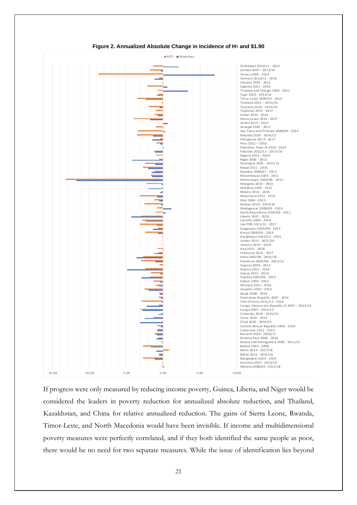

**Figure 2. Annualized Absolute Change in Incidence of H<sup>T</sup> and \$1.90**

If progress were only measured by reducing income poverty, Guinea, Liberia, and Niger would be considered the leaders in poverty reduction for annualized absolute reduction, and Thailand, Kazakhstan, and China for relative annualized reduction. The gains of Sierra Leone, Rwanda, Timor-Leste, and North Macedonia would have been invisible. If income and multidimensional poverty measures were perfectly correlated, and if they both identified the same people as poor, there would be no need for two separate measures. While the issue of identification lies beyond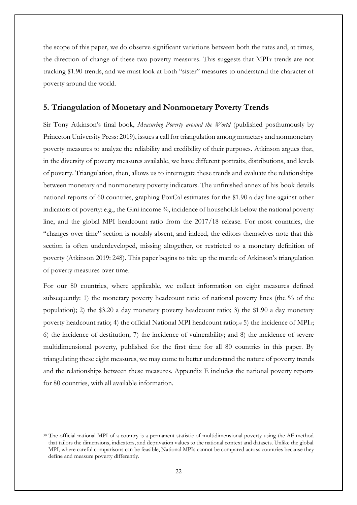the scope of this paper, we do observe significant variations between both the rates and, at times, the direction of change of these two poverty measures. This suggests that MPIT trends are not tracking \$1.90 trends, and we must look at both "sister" measures to understand the character of poverty around the world.

#### **5. Triangulation of Monetary and Nonmonetary Poverty Trends**

Sir Tony Atkinson's final book, *Measuring Poverty around the World* (published posthumously by Princeton University Press: 2019), issues a call for triangulation among monetary and nonmonetary poverty measures to analyze the reliability and credibility of their purposes. Atkinson argues that, in the diversity of poverty measures available, we have different portraits, distributions, and levels of poverty. Triangulation, then, allows us to interrogate these trends and evaluate the relationships between monetary and nonmonetary poverty indicators. The unfinished annex of his book details national reports of 60 countries, graphing PovCal estimates for the \$1.90 a day line against other indicators of poverty: e.g., the Gini income %, incidence of households below the national poverty line, and the global MPI headcount ratio from the 2017/18 release. For most countries, the "changes over time" section is notably absent, and indeed, the editors themselves note that this section is often underdeveloped, missing altogether, or restricted to a monetary definition of poverty (Atkinson 2019: 248). This paper begins to take up the mantle of Atkinson's triangulation of poverty measures over time.

For our 80 countries, where applicable, we collect information on eight measures defined subsequently: 1) the monetary poverty headcount ratio of national poverty lines (the % of the population); 2) the \$3.20 a day monetary poverty headcount ratio; 3) the \$1.90 a day monetary poverty headcount ratio; 4) the official National MPI headcount ratio;38 5) the incidence of MPIT; 6) the incidence of destitution; 7) the incidence of vulnerability; and 8) the incidence of severe multidimensional poverty, published for the first time for all 80 countries in this paper. By triangulating these eight measures, we may come to better understand the nature of poverty trends and the relationships between these measures. Appendix E includes the national poverty reports for 80 countries, with all available information.

<sup>38</sup> The official national MPI of a country is a permanent statistic of multidimensional poverty using the AF method that tailors the dimensions, indicators, and deprivation values to the national context and datasets. Unlike the global MPI, where careful comparisons can be feasible, National MPIs cannot be compared across countries because they define and measure poverty differently.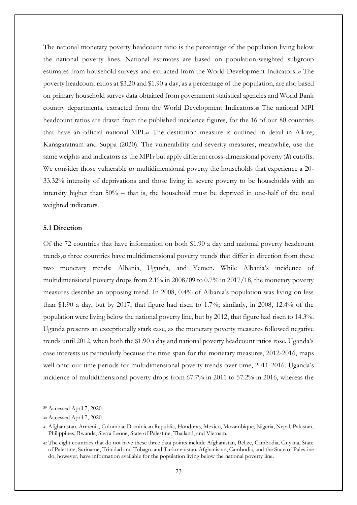The national monetary poverty headcount ratio is the percentage of the population living below the national poverty lines. National estimates are based on population-weighted subgroup estimates from household surveys and extracted from the World Development Indicators.<sup>39</sup> The poverty headcount ratios at \$3.20 and \$1.90 a day, as a percentage of the population, are also based on primary household survey data obtained from government statistical agencies and World Bank country departments, extracted from the World Development Indicators.<sup>40</sup> The national MPI headcount ratios are drawn from the published incidence figures, for the 16 of our 80 countries that have an official national MPI.<sup>41</sup> The destitution measure is outlined in detail in Alkire, Kanagaratnam and Suppa (2020). The vulnerability and severity measures, meanwhile, use the same weights and indicators as the MPI<sup>T</sup> but apply different cross-dimensional poverty (**k**) cutoffs. We consider those vulnerable to multidimensional poverty the households that experience a 20- 33.32% intensity of deprivations and those living in severe poverty to be households with an intensity higher than 50% – that is, the household must be deprived in one-half of the total weighted indicators.

#### **5.1 Direction**

Of the 72 countries that have information on both \$1.90 a day and national poverty headcount trends,<sup>42</sup> three countries have multidimensional poverty trends that differ in direction from these two monetary trends: Albania, Uganda, and Yemen. While Albania's incidence of multidimensional poverty drops from 2.1% in 2008/09 to 0.7% in 2017/18, the monetary poverty measures describe an opposing trend. In 2008, 0.4% of Albania's population was living on less than \$1.90 a day, but by 2017, that figure had risen to 1.7%; similarly, in 2008, 12.4% of the population were living below the national poverty line, but by 2012, that figure had risen to 14.3%. Uganda presents an exceptionally stark case, as the monetary poverty measures followed negative trends until 2012, when both the \$1.90 a day and national poverty headcount ratios rose. Uganda's case interests us particularly because the time span for the monetary measures, 2012-2016, maps well onto our time periods for multidimensional poverty trends over time, 2011-2016. Uganda's incidence of multidimensional poverty drops from 67.7% in 2011 to 57.2% in 2016, whereas the

<sup>39</sup> Accessed April 7, 2020.

<sup>40</sup> Accessed April 7, 2020.

<sup>41</sup> Afghanistan, Armenia, Colombia, Dominican Republic, Honduras, Mexico, Mozambique, Nigeria, Nepal, Pakistan, Philippines, Rwanda, Sierra Leone, State of Palestine, Thailand, and Vietnam.

<sup>42</sup> The eight countries that do not have these three data points include Afghanistan, Belize, Cambodia, Guyana, State of Palestine, Suriname, Trinidad and Tobago, and Turkmenistan. Afghanistan, Cambodia, and the State of Palestine do, however, have information available for the population living below the national poverty line.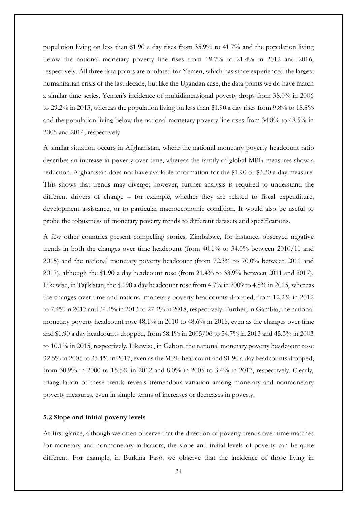population living on less than \$1.90 a day rises from 35.9% to 41.7% and the population living below the national monetary poverty line rises from 19.7% to 21.4% in 2012 and 2016, respectively. All three data points are outdated for Yemen, which has since experienced the largest humanitarian crisis of the last decade, but like the Ugandan case, the data points we do have match a similar time series. Yemen's incidence of multidimensional poverty drops from 38.0% in 2006 to 29.2% in 2013, whereas the population living on less than \$1.90 a day rises from 9.8% to 18.8% and the population living below the national monetary poverty line rises from 34.8% to 48.5% in 2005 and 2014, respectively.

A similar situation occurs in Afghanistan, where the national monetary poverty headcount ratio describes an increase in poverty over time, whereas the family of global MPIT measures show a reduction. Afghanistan does not have available information for the \$1.90 or \$3.20 a day measure. This shows that trends may diverge; however, further analysis is required to understand the different drivers of change – for example, whether they are related to fiscal expenditure, development assistance, or to particular macroeconomic condition. It would also be useful to probe the robustness of monetary poverty trends to different datasets and specifications.

A few other countries present compelling stories. Zimbabwe, for instance, observed negative trends in both the changes over time headcount (from 40.1% to 34.0% between 2010/11 and 2015) and the national monetary poverty headcount (from 72.3% to 70.0% between 2011 and 2017), although the \$1.90 a day headcount rose (from 21.4% to 33.9% between 2011 and 2017). Likewise, in Tajikistan, the \$.190 a day headcount rose from 4.7% in 2009 to 4.8% in 2015, whereas the changes over time and national monetary poverty headcounts dropped, from 12.2% in 2012 to 7.4% in 2017 and 34.4% in 2013 to 27.4% in 2018, respectively. Further, in Gambia, the national monetary poverty headcount rose 48.1% in 2010 to 48.6% in 2015, even as the changes over time and \$1.90 a day headcounts dropped, from 68.1% in 2005/06 to 54.7% in 2013 and 45.3% in 2003 to 10.1% in 2015, respectively. Likewise, in Gabon, the national monetary poverty headcount rose 32.5% in 2005 to 33.4% in 2017, even as the MPI<sup>T</sup> headcount and \$1.90 a day headcounts dropped, from 30.9% in 2000 to 15.5% in 2012 and 8.0% in 2005 to 3.4% in 2017, respectively. Clearly, triangulation of these trends reveals tremendous variation among monetary and nonmonetary poverty measures, even in simple terms of increases or decreases in poverty.

#### **5.2 Slope and initial poverty levels**

At first glance, although we often observe that the direction of poverty trends over time matches for monetary and nonmonetary indicators, the slope and initial levels of poverty can be quite different. For example, in Burkina Faso, we observe that the incidence of those living in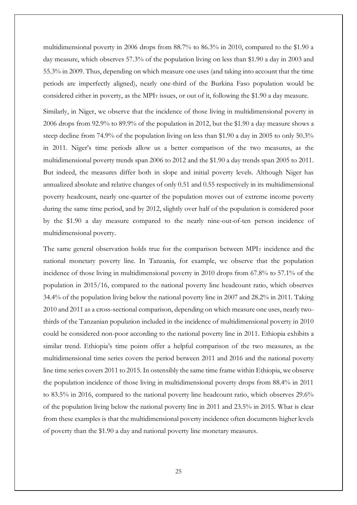multidimensional poverty in 2006 drops from 88.7% to 86.3% in 2010, compared to the \$1.90 a day measure, which observes 57.3% of the population living on less than \$1.90 a day in 2003 and 55.3% in 2009. Thus, depending on which measure one uses (and taking into account that the time periods are imperfectly aligned), nearly one-third of the Burkina Faso population would be considered either in poverty, as the MPI<sub>T</sub> issues, or out of it, following the \$1.90 a day measure.

Similarly, in Niger, we observe that the incidence of those living in multidimensional poverty in 2006 drops from 92.9% to 89.9% of the population in 2012, but the \$1.90 a day measure shows a steep decline from 74.9% of the population living on less than \$1.90 a day in 2005 to only 50.3% in 2011. Niger's time periods allow us a better comparison of the two measures, as the multidimensional poverty trends span 2006 to 2012 and the \$1.90 a day trends span 2005 to 2011. But indeed, the measures differ both in slope and initial poverty levels. Although Niger has annualized absolute and relative changes of only 0.51 and 0.55 respectively in its multidimensional poverty headcount, nearly one-quarter of the population moves out of extreme income poverty during the same time period, and by 2012, slightly over half of the population is considered poor by the \$1.90 a day measure compared to the nearly nine-out-of-ten person incidence of multidimensional poverty.

The same general observation holds true for the comparison between MPI<sup>T</sup> incidence and the national monetary poverty line. In Tanzania, for example, we observe that the population incidence of those living in multidimensional poverty in 2010 drops from 67.8% to 57.1% of the population in 2015/16, compared to the national poverty line headcount ratio, which observes 34.4% of the population living below the national poverty line in 2007 and 28.2% in 2011. Taking 2010 and 2011 as a cross-sectional comparison, depending on which measure one uses, nearly twothirds of the Tanzanian population included in the incidence of multidimensional poverty in 2010 could be considered non-poor according to the national poverty line in 2011. Ethiopia exhibits a similar trend. Ethiopia's time points offer a helpful comparison of the two measures, as the multidimensional time series covers the period between 2011 and 2016 and the national poverty line time series covers 2011 to 2015. In ostensibly the same time frame within Ethiopia, we observe the population incidence of those living in multidimensional poverty drops from 88.4% in 2011 to 83.5% in 2016, compared to the national poverty line headcount ratio, which observes 29.6% of the population living below the national poverty line in 2011 and 23.5% in 2015. What is clear from these examples is that the multidimensional poverty incidence often documents higher levels of poverty than the \$1.90 a day and national poverty line monetary measures.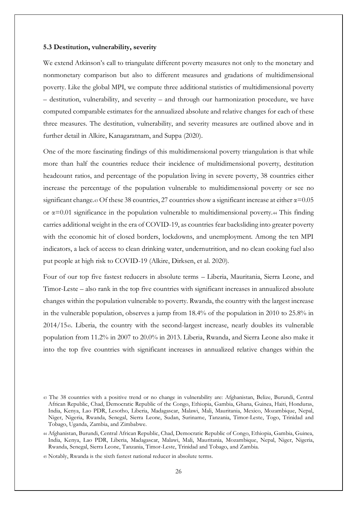#### **5.3 Destitution, vulnerability, severity**

We extend Atkinson's call to triangulate different poverty measures not only to the monetary and nonmonetary comparison but also to different measures and gradations of multidimensional poverty. Like the global MPI, we compute three additional statistics of multidimensional poverty – destitution, vulnerability, and severity – and through our harmonization procedure, we have computed comparable estimates for the annualized absolute and relative changes for each of these three measures. The destitution, vulnerability, and severity measures are outlined above and in further detail in Alkire, Kanagaratnam, and Suppa (2020).

One of the more fascinating findings of this multidimensional poverty triangulation is that while more than half the countries reduce their incidence of multidimensional poverty, destitution headcount ratios, and percentage of the population living in severe poverty, 38 countries either increase the percentage of the population vulnerable to multidimensional poverty or see no significant change.43 Of these 38 countries, 27 countries show a significant increase at either  $\alpha$ =0.05 or  $\alpha$ =0.01 significance in the population vulnerable to multidimensional poverty.44 This finding carries additional weight in the era of COVID-19, as countries fear backsliding into greater poverty with the economic hit of closed borders, lockdowns, and unemployment. Among the ten MPI indicators, a lack of access to clean drinking water, undernutrition, and no clean cooking fuel also put people at high risk to COVID-19 (Alkire, Dirksen, et al. 2020).

Four of our top five fastest reducers in absolute terms – Liberia, Mauritania, Sierra Leone, and Timor-Leste – also rank in the top five countries with significant increases in annualized absolute changes within the population vulnerable to poverty. Rwanda, the country with the largest increase in the vulnerable population, observes a jump from 18.4% of the population in 2010 to 25.8% in 2014/1545. Liberia, the country with the second-largest increase, nearly doubles its vulnerable population from 11.2% in 2007 to 20.0% in 2013. Liberia, Rwanda, and Sierra Leone also make it into the top five countries with significant increases in annualized relative changes within the

<sup>43</sup> The 38 countries with a positive trend or no change in vulnerability are: Afghanistan, Belize, Burundi, Central African Republic, Chad, Democratic Republic of the Congo, Ethiopia, Gambia, Ghana, Guinea, Haiti, Honduras, India, Kenya, Lao PDR, Lesotho, Liberia, Madagascar, Malawi, Mali, Mauritania, Mexico, Mozambique, Nepal, Niger, Nigeria, Rwanda, Senegal, Sierra Leone, Sudan, Suriname, Tanzania, Timor-Leste, Togo, Trinidad and Tobago, Uganda, Zambia, and Zimbabwe.

<sup>44</sup> Afghanistan, Burundi, Central African Republic, Chad, Democratic Republic of Congo, Ethiopia, Gambia, Guinea, India, Kenya, Lao PDR, Liberia, Madagascar, Malawi, Mali, Mauritania, Mozambique, Nepal, Niger, Nigeria, Rwanda, Senegal, Sierra Leone, Tanzania, Timor-Leste, Trinidad and Tobago, and Zambia.

<sup>45</sup> Notably, Rwanda is the sixth fastest national reducer in absolute terms.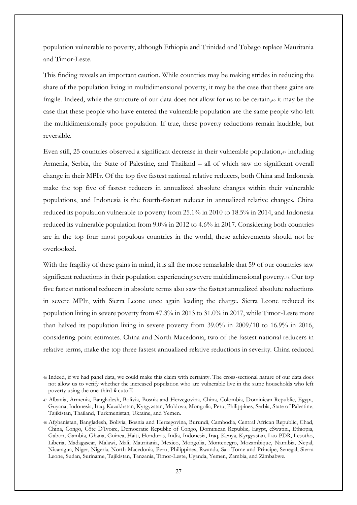population vulnerable to poverty, although Ethiopia and Trinidad and Tobago replace Mauritania and Timor-Leste.

This finding reveals an important caution. While countries may be making strides in reducing the share of the population living in multidimensional poverty, it may be the case that these gains are fragile. Indeed, while the structure of our data does not allow for us to be certain,<sup>46</sup> it may be the case that these people who have entered the vulnerable population are the same people who left the multidimensionally poor population. If true, these poverty reductions remain laudable, but reversible.

Even still, 25 countries observed a significant decrease in their vulnerable population,47 including Armenia, Serbia, the State of Palestine, and Thailand – all of which saw no significant overall change in their MPIT. Of the top five fastest national relative reducers, both China and Indonesia make the top five of fastest reducers in annualized absolute changes within their vulnerable populations, and Indonesia is the fourth-fastest reducer in annualized relative changes. China reduced its population vulnerable to poverty from 25.1% in 2010 to 18.5% in 2014, and Indonesia reduced its vulnerable population from 9.0% in 2012 to 4.6% in 2017. Considering both countries are in the top four most populous countries in the world, these achievements should not be overlooked.

With the fragility of these gains in mind, it is all the more remarkable that 59 of our countries saw significant reductions in their population experiencing severe multidimensional poverty.<sup>48</sup> Our top five fastest national reducers in absolute terms also saw the fastest annualized absolute reductions in severe MPIT, with Sierra Leone once again leading the charge. Sierra Leone reduced its population living in severe poverty from 47.3% in 2013 to 31.0% in 2017, while Timor-Leste more than halved its population living in severe poverty from 39.0% in 2009/10 to 16.9% in 2016, considering point estimates. China and North Macedonia, two of the fastest national reducers in relative terms, make the top three fastest annualized relative reductions in severity. China reduced

<sup>46</sup> Indeed, if we had panel data, we could make this claim with certainty. The cross-sectional nature of our data does not allow us to verify whether the increased population who are vulnerable live in the same households who left poverty using the one-third **<sup>k</sup>** cutoff.

<sup>47</sup> Albania, Armenia, Bangladesh, Bolivia, Bosnia and Herzegovina, China, Colombia, Dominican Republic, Egypt, Guyana, Indonesia, Iraq, Kazakhstan, Kyrgyzstan, Moldova, Mongolia, Peru, Philippines, Serbia, State of Palestine, Tajikistan, Thailand, Turkmenistan, Ukraine, and Yemen.

<sup>48</sup> Afghanistan, Bangladesh, Bolivia, Bosnia and Herzegovina, Burundi, Cambodia, Central African Republic, Chad, China, Congo, Côte D'Ivoire, Democratic Republic of Congo, Dominican Republic, Egypt, eSwatini, Ethiopia, Gabon, Gambia, Ghana, Guinea, Haiti, Honduras, India, Indonesia, Iraq, Kenya, Kyrgyzstan, Lao PDR, Lesotho, Liberia, Madagascar, Malawi, Mali, Mauritania, Mexico, Mongolia, Montenegro, Mozambique, Namibia, Nepal, Nicaragua, Niger, Nigeria, North Macedonia, Peru, Philippines, Rwanda, Sao Tome and Principe, Senegal, Sierra Leone, Sudan, Suriname, Tajikistan, Tanzania, Timor-Leste, Uganda, Yemen, Zambia, and Zimbabwe.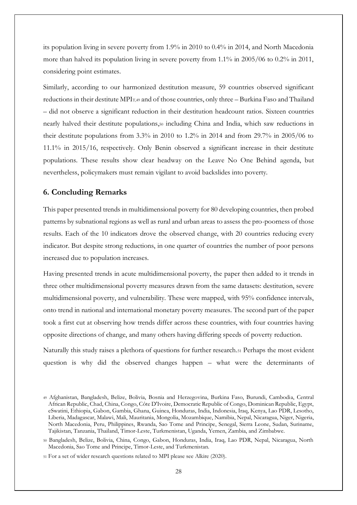its population living in severe poverty from 1.9% in 2010 to 0.4% in 2014, and North Macedonia more than halved its population living in severe poverty from 1.1% in 2005/06 to 0.2% in 2011, considering point estimates.

Similarly, according to our harmonized destitution measure, 59 countries observed significant reductions in their destitute MPIT,49 and of those countries, only three – Burkina Faso and Thailand – did not observe a significant reduction in their destitution headcount ratios. Sixteen countries nearly halved their destitute populations,<sup>50</sup> including China and India, which saw reductions in their destitute populations from 3.3% in 2010 to 1.2% in 2014 and from 29.7% in 2005/06 to 11.1% in 2015/16, respectively. Only Benin observed a significant increase in their destitute populations. These results show clear headway on the Leave No One Behind agenda, but nevertheless, policymakers must remain vigilant to avoid backslides into poverty.

#### **6. Concluding Remarks**

This paper presented trends in multidimensional poverty for 80 developing countries, then probed patterns by subnational regions as well as rural and urban areas to assess the pro-poorness of those results. Each of the 10 indicators drove the observed change, with 20 countries reducing every indicator. But despite strong reductions, in one quarter of countries the number of poor persons increased due to population increases.

Having presented trends in acute multidimensional poverty, the paper then added to it trends in three other multidimensional poverty measures drawn from the same datasets: destitution, severe multidimensional poverty, and vulnerability. These were mapped, with 95% confidence intervals, onto trend in national and international monetary poverty measures. The second part of the paper took a first cut at observing how trends differ across these countries, with four countries having opposite directions of change, and many others having differing speeds of poverty reduction.

Naturally this study raises a plethora of questions for further research.<sup>51</sup> Perhaps the most evident question is why did the observed changes happen – what were the determinants of

<sup>49</sup> Afghanistan, Bangladesh, Belize, Bolivia, Bosnia and Herzegovina, Burkina Faso, Burundi, Cambodia, Central African Republic, Chad, China, Congo, Côte D'Ivoire, Democratic Republic of Congo, Dominican Republic, Egypt, eSwatini, Ethiopia, Gabon, Gambia, Ghana, Guinea, Honduras, India, Indonesia, Iraq, Kenya, Lao PDR, Lesotho, Liberia, Madagascar, Malawi, Mali, Mauritania, Mongolia, Mozambique, Namibia, Nepal, Nicaragua, Niger, Nigeria, North Macedonia, Peru, Philippines, Rwanda, Sao Tome and Principe, Senegal, Sierra Leone, Sudan, Suriname, Tajikistan, Tanzania, Thailand, Timor-Leste, Turkmenistan, Uganda, Yemen, Zambia, and Zimbabwe.

<sup>50</sup> Bangladesh, Belize, Bolivia, China, Congo, Gabon, Honduras, India, Iraq, Lao PDR, Nepal, Nicaragua, North Macedonia, Sao Tome and Principe, Timor-Leste, and Turkmenistan.

<sup>51</sup> For a set of wider research questions related to MPI please see Alkire (2020).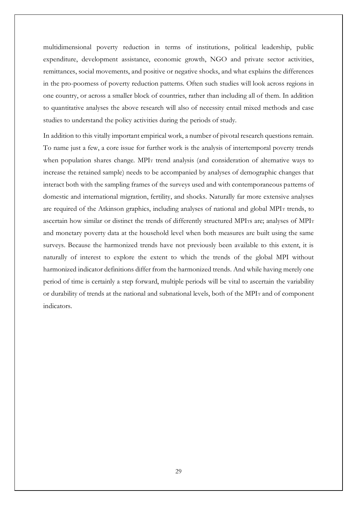multidimensional poverty reduction in terms of institutions, political leadership, public expenditure, development assistance, economic growth, NGO and private sector activities, remittances, social movements, and positive or negative shocks, and what explains the differences in the pro-poorness of poverty reduction patterns. Often such studies will look across regions in one country, or across a smaller block of countries, rather than including all of them. In addition to quantitative analyses the above research will also of necessity entail mixed methods and case studies to understand the policy activities during the periods of study.

In addition to this vitally important empirical work, a number of pivotal research questions remain. To name just a few, a core issue for further work is the analysis of intertemporal poverty trends when population shares change. MPIT trend analysis (and consideration of alternative ways to increase the retained sample) needs to be accompanied by analyses of demographic changes that interact both with the sampling frames of the surveys used and with contemporaneous patterns of domestic and international migration, fertility, and shocks. Naturally far more extensive analyses are required of the Atkinson graphics, including analyses of national and global MPI<sup>T</sup> trends, to ascertain how similar or distinct the trends of differently structured MPITs are; analyses of MPIT and monetary poverty data at the household level when both measures are built using the same surveys. Because the harmonized trends have not previously been available to this extent, it is naturally of interest to explore the extent to which the trends of the global MPI without harmonized indicator definitions differ from the harmonized trends. And while having merely one period of time is certainly a step forward, multiple periods will be vital to ascertain the variability or durability of trends at the national and subnational levels, both of the MPIT and of component indicators.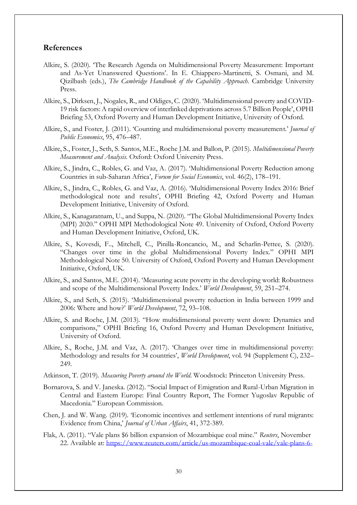#### **References**

- Alkire, S. (2020). 'The Research Agenda on Multidimensional Poverty Measurement: Important and As-Yet Unanswered Questions'. In E. Chiappero-Martinetti, S. Osmani, and M. Qizilbash (eds.), *The Cambridge Handbook of the Capability Approach*. Cambridge University Press.
- Alkire, S., Dirksen, J., Nogales, R., and Oldiges, C. (2020). 'Multidimensional poverty and COVID-19 risk factors: A rapid overview of interlinked deprivations across 5.7 Billion People', OPHI Briefing 53, Oxford Poverty and Human Development Initiative, University of Oxford.
- Alkire, S., and Foster, J. (2011). 'Counting and multidimensional poverty measurement.' *Journal of Public Economics*, 95, 476–487.
- Alkire, S., Foster, J., Seth, S. Santos, M.E., Roche J.M. and Ballon, P. (2015). *Multidimensional Poverty Measurement and Analysis*. Oxford: Oxford University Press.
- Alkire, S., Jindra, C., Robles, G. and Vaz, A. (2017). 'Multidimensional Poverty Reduction among Countries in sub-Saharan Africa', *Forum for Social Economics*, vol. 46(2), 178–191.
- Alkire, S., Jindra, C., Robles, G. and Vaz, A. (2016). 'Multidimensional Poverty Index 2016: Brief methodological note and results', OPHI Briefing 42, Oxford Poverty and Human Development Initiative, University of Oxford.
- Alkire, S., Kanagaratnam, U., and Suppa, N. (2020). "The Global Multidimensional Poverty Index (MPI) 2020." OPHI MPI Methodological Note 49. University of Oxford, Oxford Poverty and Human Development Initiative, Oxford, UK.
- Alkire, S., Kovesdi, F.., Mitchell, C., Pinilla-Roncancio, M., and Scharlin-Pettee, S. (2020). "Changes over time in the global Multidimensional Poverty Index." OPHI MPI Methodological Note 50. University of Oxford, Oxford Poverty and Human Development Initiative, Oxford, UK.
- Alkire, S., and Santos, M.E. (2014). 'Measuring acute poverty in the developing world: Robustness and scope of the Multidimensional Poverty Index.' *World Development*, 59, 251–274.
- Alkire, S., and Seth, S. (2015). 'Multidimensional poverty reduction in India between 1999 and 2006: Where and how?' *World Development*, 72, 93–108.
- Alkire, S. and Roche, J.M. (2013). "How multidimensional poverty went down: Dynamics and comparisons," OPHI Briefing 16, Oxford Poverty and Human Development Initiative, University of Oxford.
- Alkire, S., Roche, J.M. and Vaz, A. (2017). 'Changes over time in multidimensional poverty: Methodology and results for 34 countries', *World Development*, vol. 94 (Supplement C), 232– 249.
- Atkinson, T. (2019). *Measuring Poverty around the World*. Woodstock: Princeton University Press.
- Bornarova, S. and V. Janeska. (2012). "Social Impact of Emigration and Rural-Urban Migration in Central and Eastern Europe: Final Country Report, The Former Yugoslav Republic of Macedonia." European Commission.
- Chen, J. and W. Wang. (2019). 'Economic incentives and settlement intentions of rural migrants: Evidence from China,' *Journal of Urban Affairs*, 41, 372-389.
- Flak, A. (2011). "Vale plans \$6 billion expansion of Mozambique coal mine." *Reuters*, November 22. Available at: [https://www.reuters.com/article/us-mozambique-coal-vale/vale-plans-6-](https://www.reuters.com/article/us-mozambique-coal-vale/vale-plans-6-billion-expansion-of-mozambique-coal-mine-idUSTRE7AL1MH20111122)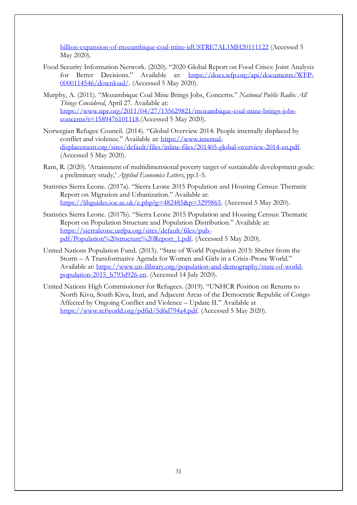[billion-expansion-of-mozambique-coal-mine-idUSTRE7AL1MH20111122](https://www.reuters.com/article/us-mozambique-coal-vale/vale-plans-6-billion-expansion-of-mozambique-coal-mine-idUSTRE7AL1MH20111122) (Accessed 5 May 2020).

- Food Security Information Network. (2020). "2020 Global Report on Food Crises: Joint Analysis for Better Decisions." Available at: [https://docs.wfp.org/api/documents/WFP-](https://docs.wfp.org/api/documents/WFP-0000114546/download/)[0000114546/download/.](https://docs.wfp.org/api/documents/WFP-0000114546/download/) (Accessed 5 May 2020).
- Murphy, A. (2011). "Mozambique Coal Mine Brings Jobs, Concerns." *National Public Radio: All Things Considered*, April 27. Available at: [https://www.npr.org/2011/04/27/135629821/mozambique-coal-mine-brings-jobs](https://www.npr.org/2011/04/27/135629821/mozambique-coal-mine-brings-jobs-concerns?t=1589476101118)[concerns?t=1589476101118.](https://www.npr.org/2011/04/27/135629821/mozambique-coal-mine-brings-jobs-concerns?t=1589476101118)(Accessed 5 May 2020).
- Norwegian Refugee Council. (2014). "Global Overview 2014: People internally displaced by conflict and violence." Available at: [https://www.internal](https://www.internal-displacement.org/sites/default/files/inline-files/201405-global-overview-2014-en.pdf)[displacement.org/sites/default/files/inline-files/201405-global-overview-2014-en.pdf.](https://www.internal-displacement.org/sites/default/files/inline-files/201405-global-overview-2014-en.pdf) (Accessed 5 May 2020).
- Ram, R. (2020). 'Attainment of multidimensional poverty target of sustainable development goals: a preliminary study,' *Applied Economics Letters*, pp.1-5.
- Statistics Sierra Leone. (2017a). "Sierra Leone 2015 Population and Housing Census: Thematic Report on Migration and Urbanization." Available at: https://libguides.joe.ac.uk/c.php?g=482485&p=3299865. (Accessed 5 May 2020).
- Statistics Sierra Leone. (2017b). "Sierra Leone 2015 Population and Housing Census: Thematic Report on Population Structure and Population Distribution." Available at: [https://sierraleone.unfpa.org/sites/default/files/pub](https://sierraleone.unfpa.org/sites/default/files/pub-pdf/Population%20structure%20Report_1.pdf)[pdf/Population%20structure%20Report\\_1.pdf.](https://sierraleone.unfpa.org/sites/default/files/pub-pdf/Population%20structure%20Report_1.pdf) (Accessed 5 May 2020).
- United Nations Population Fund. (2015). "State of World Population 2015: Shelter from the Storm – A Transformative Agenda for Women and Girls in a Crisis-Prone World." Available at: [https://www.un-ilibrary.org/population-and-demography/state-of-world](https://www.un-ilibrary.org/population-and-demography/state-of-world-population-2015_b793d926-en)[population-2015\\_b793d926-en.](https://www.un-ilibrary.org/population-and-demography/state-of-world-population-2015_b793d926-en) (Accessed 14 July 2020).
- United Nations High Commissioner for Refugees. (2019). "UNHCR Position on Returns to North Kivu, South Kivu, Ituri, and Adjacent Areas of the Democratic Republic of Congo Affected by Ongoing Conflict and Violence – Update II." Available at [https://www.refworld.org/pdfid/5d6d794a4.pdf.](https://www.refworld.org/pdfid/5d6d794a4.pdf) (Accessed 5 May 2020).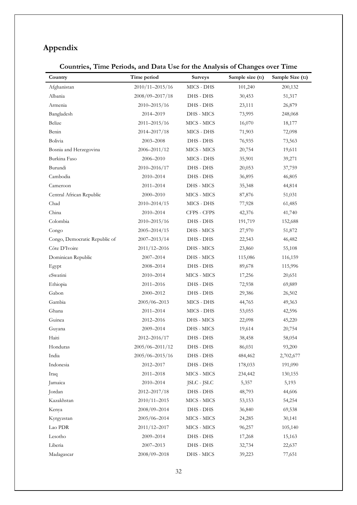# **Appendix**

# **Countries, Time Periods, and Data Use for the Analysis of Changes over Time**

| Country                       | Time period      | <b>Surveys</b>              | Sample size (t1) | Sample Size (t2) |
|-------------------------------|------------------|-----------------------------|------------------|------------------|
| Afghanistan                   | 2010/11-2015/16  | MICS - DHS                  | 101,240          | 200,132          |
| Albania                       | 2008/09-2017/18  | DHS - DHS                   | 30,453           | 51,317           |
| Armenia                       | $2010 - 2015/16$ | DHS - DHS                   | 23,111           | 26,879           |
| Bangladesh                    | 2014-2019        | DHS - MICS                  | 73,995           | 248,068          |
| Belize                        | $2011 - 2015/16$ | MICS - MICS                 | 16,070           | 18,177           |
| Benin                         | 2014-2017/18     | MICS - DHS                  | 71,903           | 72,098           |
| Bolivia                       | 2003-2008        | DHS - DHS                   | 76,935           | 73,563           |
| Bosnia and Herzegovina        | $2006 - 2011/12$ | MICS - MICS                 | 20,754           | 19,611           |
| Burkina Faso                  | 2006–2010        | MICS - DHS                  | 35,901           | 39,271           |
| Burundi                       | 2010-2016/17     | DHS - DHS                   | 20,053           | 37,759           |
| Cambodia                      | 2010-2014        | DHS - DHS                   | 36,895           | 46,805           |
| Cameroon                      | 2011-2014        | DHS - MICS                  | 35,348           | 44,814           |
| Central African Republic      | 2000-2010        | MICS - MICS                 | 87,876           | 51,031           |
| Chad                          | $2010 - 2014/15$ | MICS - DHS                  | 77,928           | 61,485           |
| China                         | 2010-2014        | CFPS - CFPS                 | 42,376           | 41,740           |
| Colombia                      | 2010-2015/16     | DHS - DHS                   | 191,719          | 152,688          |
| Congo                         | $2005 - 2014/15$ | DHS - MICS                  | 27,970           | 51,872           |
| Congo, Democratic Republic of | 2007-2013/14     | DHS - DHS                   | 22,543           | 46,482           |
| Côte D'Ivoire                 | 2011/12-2016     | DHS - MICS                  | 23,860           | 55,108           |
| Dominican Republic            | 2007-2014        | DHS - MICS                  | 115,086          | 116,159          |
| Egypt                         | 2008-2014        | DHS - DHS                   | 89,678           | 115,996          |
| eSwatini                      | 2010-2014        | ${\rm MICS}$ - ${\rm MICS}$ | 17,256           | 20,651           |
| Ethiopia                      | 2011-2016        | DHS - DHS                   | 72,938           | 69,889           |
| Gabon                         | 2000-2012        | DHS - DHS                   | 29,386           | 26,502           |
| Gambia                        | $2005/06 - 2013$ | MICS - DHS                  | 44,765           | 49,363           |
| Ghana                         | 2011-2014        | MICS - DHS                  | 53,055           | 42,596           |
| Guinea                        | 2012-2016        | DHS - MICS                  | 22,098           | 45,220           |
| Guyana                        | 2009-2014        | DHS - MICS                  | 19,614           | 20,754           |
| Haiti                         | 2012-2016/17     | DHS - DHS                   | 38,458           | 58,054           |
| Honduras                      | 2005/06-2011/12  | DHS - DHS                   | 86,031           | 93,200           |
| India                         | 2005/06-2015/16  | DHS - DHS                   | 484,462          | 2,702,677        |
| Indonesia                     | 2012-2017        | DHS - DHS                   | 178,033          | 191,090          |
| Iraq                          | 2011-2018        | MICS - MICS                 | 234,442          | 130,155          |
| Jamaica                       | 2010-2014        | <b>JSLC</b> - JSLC          | 5,357            | 5,193            |
| Jordan                        | 2012-2017/18     | DHS - DHS                   | 48,793           | 44,606           |
| Kazakhstan                    | 2010/11-2015     | MICS - MICS                 | 53,153           | 54,254           |
| Kenya                         | 2008/09-2014     | DHS - DHS                   | 36,840           | 69,538           |
| Kyrgyzstan                    | 2005/06-2014     | MICS - MICS                 | 24,285           | 30,141           |
| Lao PDR                       | 2011/12-2017     | MICS - MICS                 | 96,257           | 105,140          |
| Lesotho                       | 2009-2014        | DHS - DHS                   | 17,268           | 15,163           |
| Liberia                       | 2007-2013        | DHS - DHS                   | 32,734           | 22,637           |
| Madagascar                    | 2008/09-2018     | DHS - MICS                  | 39,223           | 77,651           |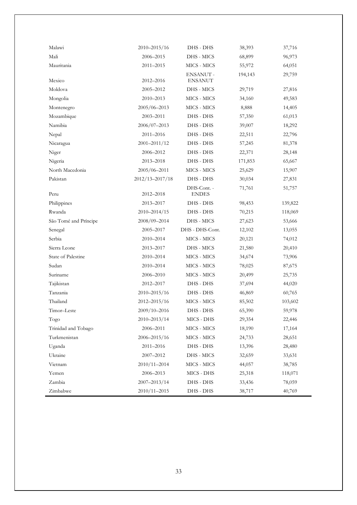| Malawi                | $2010 - 2015/16$ | DHS - DHS                   | 38,393  | 37,716  |
|-----------------------|------------------|-----------------------------|---------|---------|
| Mali                  | 2006-2015        | DHS - MICS                  | 68,899  | 96,973  |
| Mauritania            | 2011-2015        | MICS - MICS                 | 55,972  | 64,051  |
| Mexico                | 2012-2016        | ENSANUT -<br><b>ENSANUT</b> | 194,143 | 29,759  |
| Moldova               | 2005-2012        | DHS - MICS                  | 29,719  | 27,816  |
| Mongolia              | 2010-2013        | MICS - MICS                 | 34,160  | 49,583  |
| Montenegro            | $2005/06 - 2013$ | MICS - MICS                 | 8,888   | 14,405  |
| Mozambique            | 2003-2011        | DHS - DHS                   | 57,350  | 61,013  |
| Namibia               | $2006/07 - 2013$ | DHS - DHS                   | 39,007  | 18,292  |
| Nepal                 | 2011-2016        | DHS - DHS                   | 22,511  | 22,796  |
| Nicaragua             | $2001 - 2011/12$ | DHS - DHS                   | 57,245  | 81,378  |
| Niger                 | 2006–2012        | DHS - DHS                   | 22,371  | 28,148  |
| Nigeria               | 2013-2018        | DHS - DHS                   | 171,853 | 65,667  |
| North Macedonia       | $2005/06 - 2011$ | MICS - MICS                 | 25,629  | 15,907  |
| Pakistan              | 2012/13-2017/18  | DHS - DHS                   | 30,034  | 27,831  |
| Peru                  | 2012-2018        | DHS-Cont. -<br><b>ENDES</b> | 71,761  | 51,757  |
| Philippines           | 2013-2017        | DHS - DHS                   | 98,453  | 139,822 |
| Rwanda                | $2010 - 2014/15$ | DHS - DHS                   | 70,215  | 118,069 |
| São Tomé and Príncipe | 2008/09-2014     | DHS - MICS                  | 27,623  | 53,666  |
| Senegal               | 2005-2017        | DHS - DHS-Cont.             | 12,102  | 13,055  |
| Serbia                | 2010-2014        | ${\rm MICS}$ - ${\rm MICS}$ | 20,121  | 74,012  |
| Sierra Leone          | 2013-2017        | DHS - MICS                  | 21,580  | 20,410  |
| State of Palestine    | 2010-2014        | MICS - MICS                 | 34,674  | 73,906  |
| Sudan                 | 2010-2014        | MICS - MICS                 | 78,025  | 87,675  |
| Suriname              | 2006-2010        | MICS - MICS                 | 20,499  | 25,735  |
| Tajikistan            | 2012-2017        | DHS - DHS                   | 37,694  | 44,020  |
| Tanzania              | $2010 - 2015/16$ | DHS - DHS                   | 46,869  | 60,765  |
| Thailand              | $2012 - 2015/16$ | MICS - MICS                 | 85,502  | 103,602 |
| Timor-Leste           | $2009/10 - 2016$ | DHS - DHS                   | 65,390  | 59,978  |
| Togo                  | $2010 - 2013/14$ | MICS - DHS                  | 29,354  | 22,446  |
| Trinidad and Tobago   | 2006-2011        | MICS - MICS                 | 18,190  | 17,164  |
| Turkmenistan          | 2006-2015/16     | MICS - MICS                 | 24,733  | 28,651  |
| Uganda                | 2011-2016        | DHS - DHS                   | 13,396  | 28,480  |
| Ukraine               | 2007-2012        | DHS - MICS                  | 32,659  | 33,631  |
| Vietnam               | $2010/11 - 2014$ | MICS - MICS                 | 44,057  | 38,785  |
| Yemen                 | 2006-2013        | MICS - DHS                  | 25,318  | 118,071 |
| Zambia                | $2007 - 2013/14$ | DHS - DHS                   | 33,436  | 78,059  |
| Zimbabwe              | $2010/11 - 2015$ | DHS - DHS                   | 38,717  | 40,769  |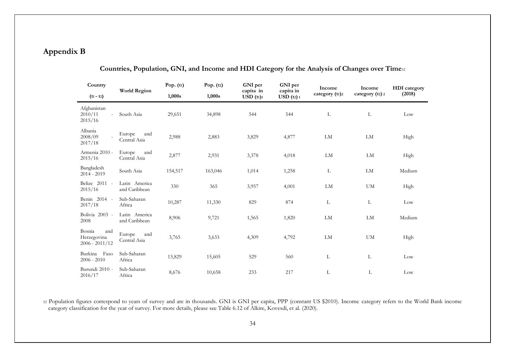## **Appendix B**

| Country                                                       |                                | Pop. $(t1)$ | Pop. $(t2)$ | GNI per                | GNI per                | Income         | Income          | <b>HDI</b> category |
|---------------------------------------------------------------|--------------------------------|-------------|-------------|------------------------|------------------------|----------------|-----------------|---------------------|
| $(t_1 - t_2)$                                                 | World Region                   | 1,000s      | 1,000s      | capita in<br>USD (t1)1 | capita in<br>USD (t2)1 | category (t1)2 | category (t2) 2 | (2018)              |
| Afghanistan<br>2010/11<br>$\overline{\phantom{a}}$<br>2015/16 | South Asia                     | 29,651      | 34,898      | 544                    | 544                    | L              | L               | Low                 |
| Albania<br>2008/09<br>2017/18                                 | Europe<br>and<br>Central Asia  | 2,988       | 2,883       | 3,829                  | 4,877                  | LM             | LM              | High                |
| Armenia 2010 -<br>2015/16                                     | Europe<br>and<br>Central Asia  | 2,877       | 2,931       | 3,378                  | 4,018                  | LM             | LM              | High                |
| Bangladesh<br>$2014 - 2019$                                   | South Asia                     | 154,517     | 163,046     | 1,014                  | 1,258                  | Г              | LM              | Medium              |
| Belize 2011 -<br>2015/16                                      | Latin America<br>and Caribbean | 330         | 365         | 3,957                  | 4,001                  | LM             | <b>UM</b>       | High                |
| Benin 2014 -<br>2017/18                                       | Sub-Saharan<br>Africa          | 10,287      | 11,330      | 829                    | 874                    | L              | L               | Low                 |
| Bolivia 2003 -<br>2008                                        | Latin America<br>and Caribbean | 8,906       | 9,721       | 1,565                  | 1,820                  | LM             | LM              | Medium              |
| Bosnia<br>and<br>Herzegovina<br>$2006 - 2011/12$              | and<br>Europe<br>Central Asia  | 3,765       | 3,633       | 4,309                  | 4,792                  | LM             | <b>UM</b>       | High                |
| Burkina<br>Faso<br>$2006 - 2010$                              | Sub-Saharan<br>Africa          | 13,829      | 15,605      | 529                    | 560                    | L              | L               | Low                 |
| Burundi 2010 -<br>2016/17                                     | Sub-Saharan<br>Africa          | 8,676       | 10,658      | 233                    | 217                    | L              | L               | Low                 |

**Countries, Population, GNI, and Income and HDI Category for the Analysis of Changes over Time**<sup>52</sup>

<sup>52</sup> Population figures correspond to years of survey and are in thousands. GNI is GNI per capita, PPP (constant US \$2010). Income category refers to the World Bank income category classification for the year of survey. For more details, please see Table 6.12 of Alkire, Kovesdi, et al. (2020).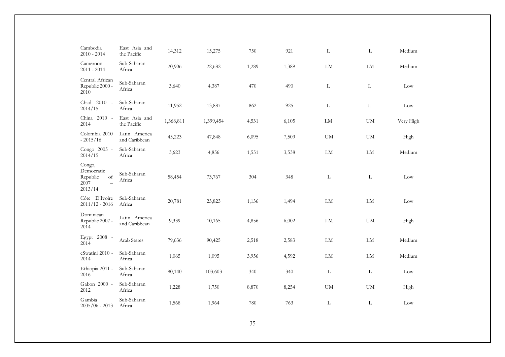| Cambodia<br>$2010 - 2014$                                                             | East Asia and<br>the Pacific   | 14,312    | 15,275    | 750   | 921   | $\mathbf L$ | $\mathbf L$            | Medium    |
|---------------------------------------------------------------------------------------|--------------------------------|-----------|-----------|-------|-------|-------------|------------------------|-----------|
| Cameroon<br>$2011 - 2014$                                                             | Sub-Saharan<br>Africa          | 20,906    | 22,682    | 1,289 | 1,389 | ${\rm LM}$  | LM                     | Medium    |
| Central African<br>Republic 2000 -<br>2010                                            | Sub-Saharan<br>Africa          | 3,640     | 4,387     | 470   | 490   | L           | L                      | Low       |
| Chad 2010 -<br>2014/15                                                                | Sub-Saharan<br>Africa          | 11,952    | 13,887    | 862   | 925   | L           | L                      | Low       |
| China 2010 -<br>2014                                                                  | East Asia and<br>the Pacific   | 1,368,811 | 1,399,454 | 4,531 | 6,105 | ${\rm LM}$  | <b>UM</b>              | Very High |
| Colombia 2010<br>$-2015/16$                                                           | Latin America<br>and Caribbean | 45,223    | 47,848    | 6,095 | 7,509 | <b>UM</b>   | $\mathbf{U}\mathbf{M}$ | High      |
| Congo 2005 -<br>2014/15                                                               | Sub-Saharan<br>Africa          | 3,623     | 4,856     | 1,551 | 3,538 | ${\rm LM}$  | LM                     | Medium    |
| Congo,<br>Democratic<br>Republic<br>of<br>2007<br>$\overline{\phantom{0}}$<br>2013/14 | Sub-Saharan<br>Africa          | 58,454    | 73,767    | 304   | 348   | L           | $\mathbf{L}$           | Low       |
| Côte D'Ivoire<br>$2011/12 - 2016$                                                     | Sub-Saharan<br>Africa          | 20,781    | 23,823    | 1,136 | 1,494 | ${\rm LM}$  | ${\rm LM}$             | Low       |
| Dominican<br>Republic 2007 -<br>2014                                                  | Latin America<br>and Caribbean | 9,339     | 10,165    | 4,856 | 6,002 | ${\rm LM}$  | $\mathbf{U}\mathbf{M}$ | High      |
| Egypt 2008 -<br>2014                                                                  | Arab States                    | 79,636    | 90,425    | 2,518 | 2,583 | LM          | LM                     | Medium    |
| eSwatini 2010 -<br>2014                                                               | Sub-Saharan<br>Africa          | 1,065     | 1,095     | 3,956 | 4,592 | LM          | LM                     | Medium    |
| Ethiopia 2011 -<br>2016                                                               | Sub-Saharan<br>Africa          | 90,140    | 103,603   | 340   | 340   | $\mathbf L$ | $\mathbf L$            | Low       |
| Gabon 2000 -<br>2012                                                                  | Sub-Saharan<br>Africa          | 1,228     | 1,750     | 8,870 | 8,254 | <b>UM</b>   | <b>UM</b>              | High      |
| Gambia<br>$2005/06 - 2013$                                                            | Sub-Saharan<br>Africa          | 1,568     | 1,964     | 780   | 763   | $\mathbf L$ | $\mathbf{L}$           | Low       |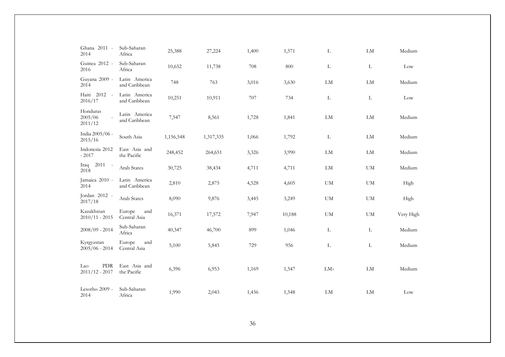| Ghana 2011 -<br>2014                   | Sub-Saharan<br>Africa          | 25,388    | 27,224    | 1,400 | 1,571  | L                      | LM                     | Medium    |
|----------------------------------------|--------------------------------|-----------|-----------|-------|--------|------------------------|------------------------|-----------|
| Guinea 2012 -<br>2016                  | Sub-Saharan<br>Africa          | 10,652    | 11,738    | 708   | 800    | L                      | L                      | Low       |
| Guyana 2009 -<br>2014                  | Latin America<br>and Caribbean | 748       | 763       | 3,016 | 3,630  | LM                     | ${\rm LM}$             | Medium    |
| $2012 -$<br>Haiti<br>2016/17           | Latin America<br>and Caribbean | 10,251    | 10,911    | 707   | 734    | $\mathbf L$            | $\mathbf L$            | Low       |
| Honduras<br>2005/06<br>2011/12         | Latin America<br>and Caribbean | 7,547     | 8,561     | 1,728 | 1,841  | LM                     | LM                     | Medium    |
| India 2005/06 -<br>2015/16             | South Asia                     | 1,156,548 | 1,317,335 | 1,066 | 1,792  | L                      | LM                     | Medium    |
| Indonesia 2012<br>$-2017$              | East Asia and<br>the Pacific   | 248,452   | 264,651   | 3,326 | 3,990  | LM                     | ${\rm LM}$             | Medium    |
| $2011 -$<br>Iraq<br>2018               | Arab States                    | 30,725    | 38,434    | 4,711 | 4,711  | LM                     | $\mathbf{U}\mathbf{M}$ | Medium    |
| Jamaica 2010 -<br>2014                 | Latin America<br>and Caribbean | 2,810     | 2,875     | 4,528 | 4,605  | UM                     | ${\rm UM}$             | High      |
| Jordan 2012 -<br>2017/18               | Arab States                    | 8,090     | 9,876     | 3,445 | 3,249  | $\mathbf{U}\mathbf{M}$ | ${\rm UM}$             | High      |
| Kazakhstan<br>$2010/11 - 2015$         | and<br>Europe<br>Central Asia  | 16,371    | 17,572    | 7,947 | 10,188 | <b>UM</b>              | ${\rm UM}$             | Very High |
| $2008/09 - 2014$                       | Sub-Saharan<br>Africa          | 40,347    | 46,700    | 899   | 1,046  | L                      | L                      | Medium    |
| Kyrgyzstan<br>$2005/06 - 2014$         | Europe<br>and<br>Central Asia  | 5,100     | 5,845     | 729   | 956    | L                      | $\mathbf L$            | Medium    |
| ${\rm PDR}$<br>Lao<br>$2011/12 - 2017$ | East Asia and<br>the Pacific   | 6,396     | 6,953     | 1,169 | 1,547  | LM <sub>3</sub>        | ${\rm LM}$             | Medium    |
| Lesotho 2009 -<br>2014                 | Sub-Saharan<br>Africa          | 1,990     | 2,043     | 1,436 | 1,548  | ${\rm LM}$             | ${\rm LM}$             | Low       |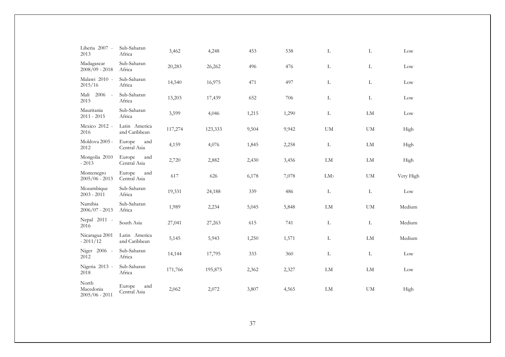| Liberia 2007 -<br>2013                 | Sub-Saharan<br>Africa          | 3,462   | 4,248   | 453   | 538   | L               | L             | Low             |
|----------------------------------------|--------------------------------|---------|---------|-------|-------|-----------------|---------------|-----------------|
| Madagascar<br>$2008/09 - 2018$         | Sub-Saharan<br>Africa          | 20,283  | 26,262  | 496   | 476   | L               | L             | $_{\text{Low}}$ |
| Malawi 2010 -<br>2015/16               | Sub-Saharan<br>Africa          | 14,540  | 16,975  | 471   | 497   | L               | $\mathbf{L}$  | Low             |
| Mali<br>2006<br>2015                   | Sub-Saharan<br>Africa          | 13,203  | 17,439  | 652   | 706   | L               | $\mathbf L$   | Low             |
| Mauritania<br>$2011 - 2015$            | Sub-Saharan<br>Africa          | 3,599   | 4,046   | 1,215 | 1,290 | L               | ${\rm LM}$    | Low             |
| Mexico 2012 -<br>2016                  | Latin America<br>and Caribbean | 117,274 | 123,333 | 9,504 | 9,942 | ${\rm UM}$      | ${\rm UM}$    | High            |
| Moldova 2005 -<br>2012                 | Europe<br>and<br>Central Asia  | 4,159   | 4,076   | 1,845 | 2,258 | L               | LM            | High            |
| Mongolia 2010<br>$-2013$               | and<br>Europe<br>Central Asia  | 2,720   | 2,882   | 2,430 | 3,456 | LM              | LM            | High            |
| Montenegro<br>$2005/06 - 2013$         | Europe<br>and<br>Central Asia  | 617     | 626     | 6,178 | 7,078 | LM <sub>3</sub> | $\mathbf{UM}$ | Very High       |
| Mozambique<br>$2003 - 2011$            | Sub-Saharan<br>Africa          | 19,331  | 24,188  | 339   | 486   | L               | L             | Low             |
| Namibia<br>$2006/07 - 2013$            | Sub-Saharan<br>Africa          | 1,989   | 2,234   | 5,045 | 5,848 | ${\rm LM}$      | UM            | Medium          |
| Nepal 2011 -<br>2016                   | South Asia                     | 27,041  | 27,263  | 615   | 741   | L               | $\mathbf L$   | Medium          |
| Nicaragua 2001<br>$-2011/12$           | Latin America<br>and Caribbean | 5,145   | 5,943   | 1,250 | 1,571 | L               | LM            | Medium          |
| Niger 2006 -<br>2012                   | Sub-Saharan<br>Africa          | 14,144  | 17,795  | 333   | 360   | L               | $\mathbf{L}$  | Low             |
| Nigeria 2013 -<br>2018                 | Sub-Saharan<br>Africa          | 171,766 | 195,875 | 2,362 | 2,327 | LM              | LM            | Low             |
| North<br>Macedonia<br>$2005/06 - 2011$ | Europe<br>and<br>Central Asia  | 2,062   | 2,072   | 3,807 | 4,565 | LM              | <b>UM</b>     | High            |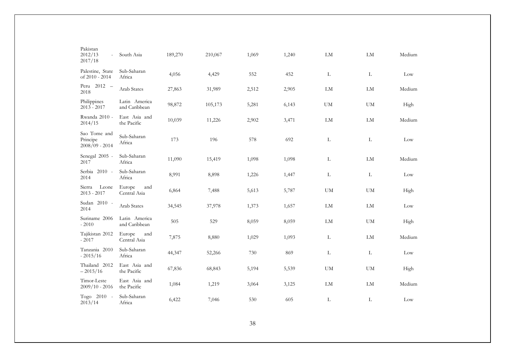| Pakistan<br>2012/13<br>$\overline{\phantom{a}}$<br>2017/18 | South Asia                     | 189,270 | 210,067 | 1,069 | 1,240 | LM         | ${\rm LM}$             | Medium |
|------------------------------------------------------------|--------------------------------|---------|---------|-------|-------|------------|------------------------|--------|
| Palestine, State<br>of 2010 - 2014                         | Sub-Saharan<br>Africa          | 4,056   | 4,429   | 552   | 452   | L          | L                      | Low    |
| Peru 2012 -<br>2018                                        | Arab States                    | 27,863  | 31,989  | 2,512 | 2,905 | LM         | LM                     | Medium |
| Philippines<br>$2013 - 2017$                               | Latin America<br>and Caribbean | 98,872  | 105,173 | 5,281 | 6,143 | <b>UM</b>  | <b>UM</b>              | High   |
| Rwanda 2010 -<br>2014/15                                   | East Asia and<br>the Pacific   | 10,039  | 11,226  | 2,902 | 3,471 | LM         | LM                     | Medium |
| Sao Tome and<br>Principe<br>$2008/09 - 2014$               | Sub-Saharan<br>Africa          | 173     | 196     | 578   | 692   | L          | L                      | Low    |
| Senegal 2005 -<br>2017                                     | Sub-Saharan<br>Africa          | 11,090  | 15,419  | 1,098 | 1,098 | L          | ${\rm LM}$             | Medium |
| Serbia 2010 -<br>2014                                      | Sub-Saharan<br>Africa          | 8,991   | 8,898   | 1,226 | 1,447 | L          | L                      | Low    |
| Leone<br>Sierra<br>$2013 - 2017$                           | Europe<br>and<br>Central Asia  | 6,864   | 7,488   | 5,613 | 5,787 | <b>UM</b>  | $\mathbf{U}\mathbf{M}$ | High   |
| Sudan 2010 -<br>2014                                       | Arab States                    | 34,545  | 37,978  | 1,373 | 1,657 | ${\rm LM}$ | ${\rm LM}$             | Low    |
| Suriname 2006<br>$-2010$                                   | Latin America<br>and Caribbean | 505     | 529     | 8,059 | 8,059 | LM         | $\mathbf{U}\mathbf{M}$ | High   |
| Tajikistan 2012<br>$-2017$                                 | Europe<br>and<br>Central Asia  | 7,875   | 8,880   | 1,029 | 1,093 | L          | ${\rm LM}$             | Medium |
| Tanzania 2010<br>$-2015/16$                                | Sub-Saharan<br>Africa          | 44,347  | 52,266  | 730   | 869   | L          | L                      | Low    |
| Thailand 2012<br>$-2015/16$                                | East Asia and<br>the Pacific   | 67,836  | 68,843  | 5,194 | 5,539 | <b>UM</b>  | <b>UM</b>              | High   |
| Timor-Leste<br>$2009/10 - 2016$                            | East Asia and<br>the Pacific   | 1,084   | 1,219   | 3,064 | 3,125 | LM         | LM                     | Medium |
| Togo 2010 -<br>2013/14                                     | Sub-Saharan<br>Africa          | 6,422   | 7,046   | 530   | 605   | L          | L                      | Low    |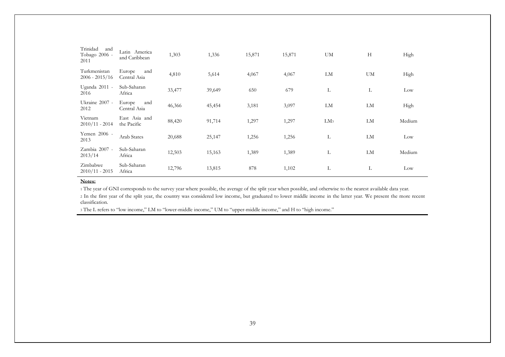| Trinidad<br>and<br>Tobago 2006 -<br>2011 | Latin America<br>and Caribbean | 1,303  | 1,336  | 15,871 | 15,871 | UM              | H  | High   |
|------------------------------------------|--------------------------------|--------|--------|--------|--------|-----------------|----|--------|
| Turkmenistan<br>$2006 - 2015/16$         | Europe<br>and<br>Central Asia  | 4,810  | 5,614  | 4,067  | 4,067  | LM              | UM | High   |
| Uganda 2011 -<br>2016                    | Sub-Saharan<br>Africa          | 33,477 | 39,649 | 650    | 679    | L               | L  | Low    |
| Ukraine 2007 -<br>2012                   | Europe<br>and<br>Central Asia  | 46,366 | 45,454 | 3,181  | 3,097  | LM              | LM | High   |
| Vietnam<br>$2010/11 - 2014$              | East Asia and<br>the Pacific   | 88,420 | 91,714 | 1,297  | 1,297  | LM <sub>3</sub> | LM | Medium |
| Yemen 2006 -<br>2013                     | <b>Arab States</b>             | 20,688 | 25,147 | 1,256  | 1,256  | L               | LM | Low    |
| Zambia 2007 -<br>2013/14                 | Sub-Saharan<br>Africa          | 12,503 | 15,163 | 1,389  | 1,389  | L               | LM | Medium |
| Zimbabwe<br>$2010/11 - 2015$             | Sub-Saharan<br>Africa          | 12,796 | 13,815 | 878    | 1,102  | L               | L  | Low    |
|                                          |                                |        |        |        |        |                 |    |        |

#### **Notes:**

<sup>1</sup> The year of GNI corresponds to the survey year where possible, the average of the split year when possible, and otherwise to the nearest available data year.

<sup>2</sup> In the first year of the split year, the country was considered low income, but graduated to lower middle income in the latter year. We present the more recent classification.

<sup>3</sup> The L refers to "low income," LM to "lower-middle income," UM to "upper-middle income," and H to "high income."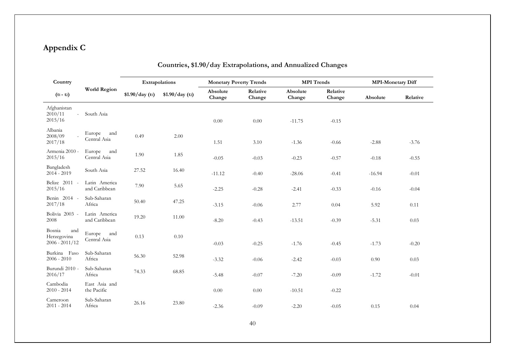# **Appendix C**

| Country                                                       |                                | Extrapolations |                | <b>Monetary Poverty Trends</b> |                    | <b>MPI</b> Trends  |                    | <b>MPI-Monetary Diff</b> |          |
|---------------------------------------------------------------|--------------------------------|----------------|----------------|--------------------------------|--------------------|--------------------|--------------------|--------------------------|----------|
| $(t_1 - t_2)$                                                 | <b>World Region</b>            | \$1.90/day(t1) | \$1.90/day(t2) | Absolute<br>Change             | Relative<br>Change | Absolute<br>Change | Relative<br>Change | Absolute                 | Relative |
| Afghanistan<br>2010/11<br>$\overline{\phantom{a}}$<br>2015/16 | South Asia                     |                |                | 0.00                           | 0.00               | $-11.75$           | $-0.15$            |                          |          |
| Albania<br>2008/09<br>2017/18                                 | Europe<br>and<br>Central Asia  | 0.49           | 2.00           | 1.51                           | 3.10               | $-1.36$            | $-0.66$            | $-2.88$                  | $-3.76$  |
| Armenia 2010 -<br>2015/16                                     | Europe<br>and<br>Central Asia  | 1.90           | 1.85           | $-0.05$                        | $-0.03$            | $-0.23$            | $-0.57$            | $-0.18$                  | $-0.55$  |
| Bangladesh<br>$2014 - 2019$                                   | South Asia                     | 27.52          | 16.40          | $-11.12$                       | $-0.40$            | $-28.06$           | $-0.41$            | $-16.94$                 | $-0.01$  |
| Belize 2011 -<br>2015/16                                      | Latin America<br>and Caribbean | 7.90           | 5.65           | $-2.25$                        | $-0.28$            | $-2.41$            | $-0.33$            | $-0.16$                  | $-0.04$  |
| Benin 2014 -<br>2017/18                                       | Sub-Saharan<br>Africa          | 50.40          | 47.25          | $-3.15$                        | $-0.06$            | 2.77               | 0.04               | 5.92                     | 0.11     |
| Bolivia 2003 -<br>2008                                        | Latin America<br>and Caribbean | 19.20          | 11.00          | $-8.20$                        | $-0.43$            | $-13.51$           | $-0.39$            | $-5.31$                  | 0.03     |
| Bosnia<br>and<br>Herzegovina<br>$2006 - 2011/12$              | Europe<br>and<br>Central Asia  | 0.13           | 0.10           | $-0.03$                        | $-0.25$            | $-1.76$            | $-0.45$            | $-1.73$                  | $-0.20$  |
| Burkina Faso<br>$2006 - 2010$                                 | Sub-Saharan<br>Africa          | 56.30          | 52.98          | $-3.32$                        | $-0.06$            | $-2.42$            | $-0.03$            | 0.90                     | 0.03     |
| Burundi 2010 -<br>2016/17                                     | Sub-Saharan<br>Africa          | 74.33          | 68.85          | $-5.48$                        | $-0.07$            | $-7.20$            | $-0.09$            | $-1.72$                  | $-0.01$  |
| Cambodia<br>$2010 - 2014$                                     | East Asia and<br>the Pacific   |                |                | 0.00                           | 0.00               | $-10.51$           | $-0.22$            |                          |          |
| Cameroon<br>$2011 - 2014$                                     | Sub-Saharan<br>Africa          | 26.16          | 23.80          | $-2.36$                        | $-0.09$            | $-2.20$            | $-0.05$            | 0.15                     | 0.04     |

# **Countries, \$1.90/day Extrapolations, and Annualized Changes**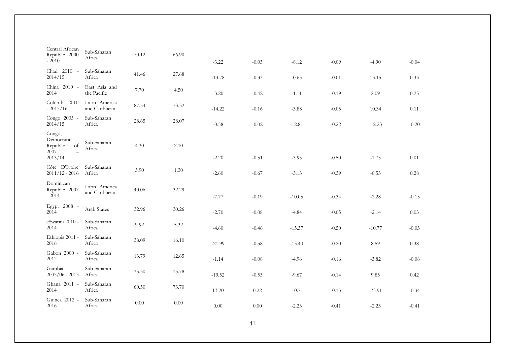| Central African<br>Republic 2000<br>$-2010$                                           | Sub-Saharan<br>Africa          | 70.12 | 66.90 | $-3.22$  | $-0.05$ | $-8.12$  | $-0.09$ | $-4.90$  | $-0.04$ |
|---------------------------------------------------------------------------------------|--------------------------------|-------|-------|----------|---------|----------|---------|----------|---------|
| Chad 2010 -<br>2014/15                                                                | Sub-Saharan<br>Africa          | 41.46 | 27.68 | $-13.78$ | $-0.33$ | $-0.63$  | $-0.01$ | 13.15    | 0.33    |
| China 2010 -<br>2014                                                                  | East Asia and<br>the Pacific   | 7.70  | 4.50  | $-3.20$  | $-0.42$ | $-1.11$  | $-0.19$ | 2.09     | 0.23    |
| Colombia 2010<br>$-2015/16$                                                           | Latin America<br>and Caribbean | 87.54 | 73.32 | $-14.22$ | $-0.16$ | $-3.88$  | $-0.05$ | 10.34    | 0.11    |
| Congo 2005 -<br>2014/15                                                               | Sub-Saharan<br>Africa          | 28.65 | 28.07 | $-0.58$  | $-0.02$ | $-12.81$ | $-0.22$ | $-12.23$ | $-0.20$ |
| Congo,<br>Democratic<br>Republic<br>of<br>2007<br>$\overline{\phantom{0}}$<br>2013/14 | Sub-Saharan<br>Africa          | 4.30  | 2.10  | $-2.20$  | $-0.51$ | $-3.95$  | $-0.50$ | $-1.75$  | 0.01    |
| Côte D'Ivoire<br>$2011/12 - 2016$                                                     | Sub-Saharan<br>Africa          | 3.90  | 1.30  | $-2.60$  | $-0.67$ | $-3.13$  | $-0.39$ | $-0.53$  | 0.28    |
| Dominican<br>Republic 2007<br>$-2014$                                                 | Latin America<br>and Caribbean | 40.06 | 32.29 | $-7.77$  | $-0.19$ | $-10.05$ | $-0.34$ | $-2.28$  | $-0.15$ |
| Egypt 2008 -<br>2014                                                                  | Arab States                    | 32.96 | 30.26 | $-2.70$  | $-0.08$ | $-4.84$  | $-0.05$ | $-2.14$  | 0.03    |
| eSwatini 2010 -<br>2014                                                               | Sub-Saharan<br>Africa          | 9.92  | 5.32  | $-4.60$  | $-0.46$ | $-15.37$ | $-0.50$ | $-10.77$ | $-0.03$ |
| Ethiopia 2011 -<br>2016                                                               | Sub-Saharan<br>Africa          | 38.09 | 16.10 | $-21.99$ | $-0.58$ | $-13.40$ | $-0.20$ | 8.59     | 0.38    |
| Gabon 2000 -<br>2012                                                                  | Sub-Saharan<br>Africa          | 13.79 | 12.65 | $-1.14$  | $-0.08$ | $-4.96$  | $-0.16$ | $-3.82$  | $-0.08$ |
| Gambia<br>$2005/06 - 2013$                                                            | Sub-Saharan<br>Africa          | 35.30 | 15.78 | $-19.52$ | $-0.55$ | $-9.67$  | $-0.14$ | 9.85     | 0.42    |
| Ghana 2011 -<br>2014                                                                  | Sub-Saharan<br>Africa          | 60.50 | 73.70 | 13.20    | 0.22    | $-10.71$ | $-0.13$ | $-23.91$ | $-0.34$ |
| Guinea 2012 -<br>2016                                                                 | Sub-Saharan<br>Africa          | 0.00  | 0.00  | $0.00\,$ | 0.00    | $-2.23$  | $-0.41$ | $-2.23$  | $-0.41$ |
|                                                                                       |                                |       |       |          |         |          |         |          |         |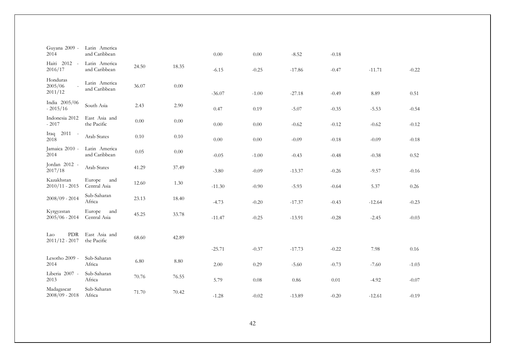| Guyana 2009 -<br>2014          | Latin America<br>and Caribbean |          |          | 0.00     | $0.00\,$ | $-8.52$  | $-0.18$ |          |         |
|--------------------------------|--------------------------------|----------|----------|----------|----------|----------|---------|----------|---------|
| $2012 -$<br>Haiti<br>2016/17   | Latin America<br>and Caribbean | 24.50    | 18.35    | $-6.15$  | $-0.25$  | $-17.86$ | $-0.47$ | $-11.71$ | $-0.22$ |
| Honduras<br>2005/06<br>2011/12 | Latin America<br>and Caribbean | 36.07    | 0.00     | $-36.07$ | $-1.00$  | $-27.18$ | $-0.49$ | 8.89     | 0.51    |
| India 2005/06<br>$-2015/16$    | South Asia                     | 2.43     | 2.90     | 0.47     | 0.19     | $-5.07$  | $-0.35$ | $-5.53$  | $-0.54$ |
| Indonesia 2012<br>$-2017$      | East Asia and<br>the Pacific   | $0.00\,$ | $0.00\,$ | 0.00     | 0.00     | $-0.62$  | $-0.12$ | $-0.62$  | $-0.12$ |
| $2011 -$<br>Iraq<br>2018       | Arab States                    | $0.10\,$ | $0.10\,$ | 0.00     | 0.00     | $-0.09$  | $-0.18$ | $-0.09$  | $-0.18$ |
| Jamaica 2010 -<br>2014         | Latin America<br>and Caribbean | 0.05     | $0.00\,$ | $-0.05$  | $-1.00$  | $-0.43$  | $-0.48$ | $-0.38$  | 0.52    |
| Jordan 2012 -<br>2017/18       | Arab States                    | 41.29    | 37.49    | $-3.80$  | $-0.09$  | $-13.37$ | $-0.26$ | $-9.57$  | $-0.16$ |
| Kazakhstan<br>$2010/11 - 2015$ | Europe<br>and<br>Central Asia  | 12.60    | 1.30     | $-11.30$ | $-0.90$  | $-5.93$  | $-0.64$ | 5.37     | 0.26    |
| $2008/09 - 2014$               | Sub-Saharan<br>Africa          | 23.13    | 18.40    | $-4.73$  | $-0.20$  | $-17.37$ | $-0.43$ | $-12.64$ | $-0.23$ |
| Kyrgyzstan<br>$2005/06 - 2014$ | Europe<br>and<br>Central Asia  | 45.25    | 33.78    | $-11.47$ | $-0.25$  | $-13.91$ | $-0.28$ | $-2.45$  | $-0.03$ |
| PDR<br>Lao<br>$2011/12 - 2017$ | East Asia and<br>the Pacific   | 68.60    | 42.89    |          |          |          |         |          |         |
|                                |                                |          |          | $-25.71$ | $-0.37$  | $-17.73$ | $-0.22$ | 7.98     | 0.16    |
| Lesotho 2009 -<br>2014         | Sub-Saharan<br>Africa          | $6.80\,$ | $8.80\,$ | 2.00     | 0.29     | $-5.60$  | $-0.73$ | $-7.60$  | $-1.03$ |
| Liberia 2007 -<br>2013         | Sub-Saharan<br>Africa          | 70.76    | 76.55    | 5.79     | 0.08     | 0.86     | 0.01    | $-4.92$  | $-0.07$ |
| Madagascar<br>$2008/09 - 2018$ | Sub-Saharan<br>Africa          | 71.70    | 70.42    | $-1.28$  | $-0.02$  | $-13.89$ | $-0.20$ | $-12.61$ | $-0.19$ |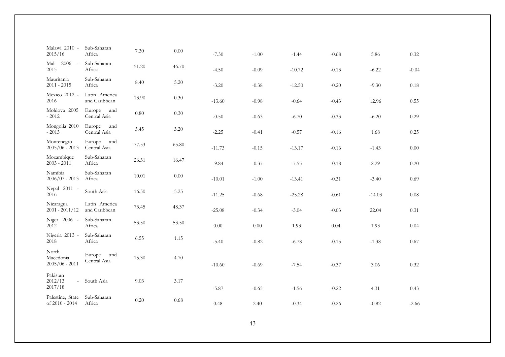| Malawi 2010 -<br>2015/16                 | Sub-Saharan<br>Africa                  | 7.30     | 0.00     | $-7.30$  | $-1.00$ | $-1.44$  | $-0.68$ | 5.86     | 0.32    |
|------------------------------------------|----------------------------------------|----------|----------|----------|---------|----------|---------|----------|---------|
| Mali<br>$2006 -$<br>2015                 | Sub-Saharan<br>Africa                  | 51.20    | 46.70    | $-4.50$  | $-0.09$ | $-10.72$ | $-0.13$ | $-6.22$  | $-0.04$ |
| Mauritania<br>$2011 - 2015$              | Sub-Saharan<br>Africa                  | 8.40     | 5.20     | $-3.20$  | $-0.38$ | $-12.50$ | $-0.20$ | $-9.30$  | 0.18    |
| Mexico 2012 -<br>2016                    | Latin America<br>and Caribbean         | 13.90    | 0.30     | $-13.60$ | $-0.98$ | $-0.64$  | $-0.43$ | 12.96    | 0.55    |
| Moldova 2005<br>$-2012$                  | Europe<br>and<br>Central Asia          | $0.80\,$ | 0.30     | $-0.50$  | $-0.63$ | $-6.70$  | $-0.33$ | $-6.20$  | 0.29    |
| Mongolia 2010<br>$-2013$                 | Europe<br>and<br>Central Asia          | 5.45     | 3.20     | $-2.25$  | $-0.41$ | $-0.57$  | $-0.16$ | 1.68     | 0.25    |
| Montenegro<br>$2005/06 - 2013$           | Europe and<br>Central Asia             | 77.53    | 65.80    | $-11.73$ | $-0.15$ | $-13.17$ | $-0.16$ | $-1.43$  | 0.00    |
| Mozambique<br>$2003 - 2011$              | Sub-Saharan<br>Africa                  | 26.31    | 16.47    | $-9.84$  | $-0.37$ | $-7.55$  | $-0.18$ | 2.29     | 0.20    |
| Namibia<br>$2006/07 - 2013$              | Sub-Saharan<br>Africa                  | 10.01    | 0.00     | $-10.01$ | $-1.00$ | $-13.41$ | $-0.31$ | $-3.40$  | 0.69    |
| Nepal 2011 -<br>2016                     | South Asia                             | 16.50    | 5.25     | $-11.25$ | $-0.68$ | $-25.28$ | $-0.61$ | $-14.03$ | 0.08    |
| Nicaragua<br>$2001 - 2011/12$            | Latin America<br>and Caribbean         | 73.45    | 48.37    | $-25.08$ | $-0.34$ | $-3.04$  | $-0.03$ | 22.04    | 0.31    |
| Niger 2006 -<br>2012                     | Sub-Saharan<br>Africa                  | 53.50    | 53.50    | $0.00\,$ | 0.00    | 1.93     | 0.04    | 1.93     | 0.04    |
| Nigeria 2013 -<br>2018                   | Sub-Saharan<br>Africa                  | 6.55     | 1.15     | $-5.40$  | $-0.82$ | $-6.78$  | $-0.15$ | $-1.38$  | 0.67    |
| North<br>Macedonia                       | Europe<br>and<br>15.30<br>Central Asia |          | 4.70     |          |         |          |         |          |         |
| $2005/06 - 2011$                         |                                        |          | $-10.60$ | $-0.69$  | $-7.54$ | $-0.37$  | 3.06    | 0.32     |         |
| Pakistan<br>2012/13<br>$\sim$<br>2017/18 | South Asia                             | 9.03     | 3.17     | $-5.87$  | $-0.65$ | $-1.56$  | $-0.22$ | 4.31     | 0.43    |
| Palestine, State<br>of 2010 - 2014       | Sub-Saharan<br>Africa                  | 0.20     | 0.68     | 0.48     | 2.40    | $-0.34$  | $-0.26$ | $-0.82$  | $-2.66$ |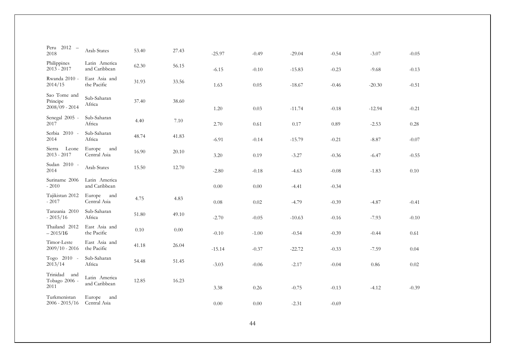| Peru 2012 -<br>2018                      | Arab States                    | 53.40 | 27.43 | $-25.97$ | $-0.49$ | $-29.04$ | $-0.54$ | $-3.07$  | $-0.05$ |
|------------------------------------------|--------------------------------|-------|-------|----------|---------|----------|---------|----------|---------|
| Philippines                              | Latin America                  | 62.30 | 56.15 |          |         |          |         |          |         |
| $2013 - 2017$                            | and Caribbean                  |       |       | $-6.15$  | $-0.10$ | $-15.83$ | $-0.23$ | $-9.68$  | $-0.13$ |
| Rwanda 2010 -<br>2014/15                 | East Asia and<br>the Pacific   | 31.93 | 33.56 | 1.63     | 0.05    | $-18.67$ | $-0.46$ | $-20.30$ | $-0.51$ |
| Sao Tome and<br>Principe                 | Sub-Saharan                    | 37.40 | 38.60 |          |         |          |         |          |         |
| $2008/09 - 2014$                         | Africa                         |       |       | 1.20     | 0.03    | $-11.74$ | $-0.18$ | $-12.94$ | $-0.21$ |
| Senegal 2005 -<br>2017                   | Sub-Saharan<br>Africa          | 4.40  | 7.10  | 2.70     | 0.61    | 0.17     | 0.89    | $-2.53$  | 0.28    |
| Serbia 2010 -<br>2014                    | Sub-Saharan<br>Africa          | 48.74 | 41.83 | $-6.91$  | $-0.14$ | $-15.79$ | $-0.21$ | $-8.87$  | $-0.07$ |
| Leone<br>Sierra<br>$2013 - 2017$         | Europe<br>and<br>Central Asia  | 16.90 | 20.10 | 3.20     | 0.19    | $-3.27$  | $-0.36$ | $-6.47$  | $-0.55$ |
| Sudan 2010 -<br>2014                     | Arab States                    | 15.50 | 12.70 | $-2.80$  | $-0.18$ | $-4.63$  | $-0.08$ | $-1.83$  | 0.10    |
| Suriname 2006<br>$-2010$                 | Latin America<br>and Caribbean |       |       | 0.00     | 0.00    | $-4.41$  | $-0.34$ |          |         |
| Tajikistan 2012<br>$-2017$               | Europe<br>and<br>Central Asia  | 4.75  | 4.83  | 0.08     | 0.02    | $-4.79$  | $-0.39$ | $-4.87$  | $-0.41$ |
| Tanzania 2010<br>$-2015/16$              | Sub-Saharan<br>Africa          | 51.80 | 49.10 | $-2.70$  | $-0.05$ | $-10.63$ | $-0.16$ | $-7.93$  | $-0.10$ |
| Thailand 2012<br>$-2015/16$              | East Asia and<br>the Pacific   | 0.10  | 0.00  | $-0.10$  | $-1.00$ | $-0.54$  | $-0.39$ | $-0.44$  | 0.61    |
| Timor-Leste<br>$2009/10 - 2016$          | East Asia and<br>the Pacific   | 41.18 | 26.04 | $-15.14$ | $-0.37$ | $-22.72$ | $-0.33$ | $-7.59$  | 0.04    |
| Togo 2010 -<br>2013/14                   | Sub-Saharan<br>Africa          | 54.48 | 51.45 | $-3.03$  | $-0.06$ | $-2.17$  | $-0.04$ | 0.86     | 0.02    |
| Trinidad<br>and<br>Tobago 2006 -<br>2011 | Latin America<br>and Caribbean | 12.85 | 16.23 | 3.38     | 0.26    | $-0.75$  | $-0.13$ | $-4.12$  | $-0.39$ |
|                                          |                                |       |       |          |         |          |         |          |         |
| Turkmenistan<br>$2006 - 2015/16$         | Europe<br>and<br>Central Asia  |       |       | 0.00     | 0.00    | $-2.31$  | $-0.69$ |          |         |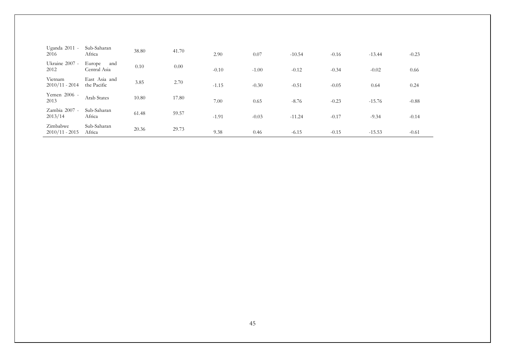| Uganda 2011 -<br>2016        | Sub-Saharan<br>Africa         | 38.80 | 41.70 | 2.90    | 0.07    | $-10.54$ | $-0.16$ | $-13.44$ | $-0.23$ |
|------------------------------|-------------------------------|-------|-------|---------|---------|----------|---------|----------|---------|
| Ukraine 2007 -<br>2012       | Europe<br>and<br>Central Asia | 0.10  | 0.00  | $-0.10$ | $-1.00$ | $-0.12$  | $-0.34$ | $-0.02$  | 0.66    |
| Vietnam<br>$2010/11 - 2014$  | East Asia and<br>the Pacific  | 3.85  | 2.70  | $-1.15$ | $-0.30$ | $-0.51$  | $-0.05$ | 0.64     | 0.24    |
| Yemen 2006 -<br>2013         | Arab States                   | 10.80 | 17.80 | 7.00    | 0.65    | $-8.76$  | $-0.23$ | $-15.76$ | $-0.88$ |
| Zambia 2007 -<br>2013/14     | Sub-Saharan<br>Africa         | 61.48 | 59.57 | $-1.91$ | $-0.03$ | $-11.24$ | $-0.17$ | $-9.34$  | $-0.14$ |
| Zimbabwe<br>$2010/11 - 2015$ | Sub-Saharan<br>Africa         | 20.36 | 29.73 | 9.38    | 0.46    | $-6.15$  | $-0.15$ | $-15.53$ | $-0.61$ |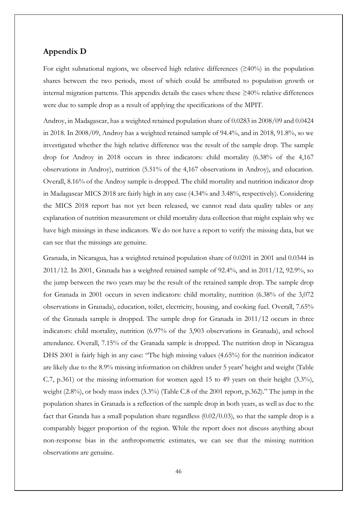### **Appendix D**

For eight subnational regions, we observed high relative differences  $(\geq 40\%)$  in the population shares between the two periods, most of which could be attributed to population growth or internal migration patterns. This appendix details the cases where these  $\geq 40\%$  relative differences were due to sample drop as a result of applying the specifications of the MPIT.

Androy, in Madagascar, has a weighted retained population share of 0.0283 in 2008/09 and 0.0424 in 2018. In 2008/09, Androy has a weighted retained sample of 94.4%, and in 2018, 91.8%, so we investigated whether the high relative difference was the result of the sample drop. The sample drop for Androy in 2018 occurs in three indicators: child mortality (6.38% of the 4,167 observations in Androy), nutrition (5.51% of the 4,167 observations in Androy), and education. Overall, 8.16% of the Androy sample is dropped. The child mortality and nutrition indicator drop in Madagascar MICS 2018 are fairly high in any case (4.34% and 3.48%, respectively). Considering the MICS 2018 report has not yet been released, we cannot read data quality tables or any explanation of nutrition measurement or child mortality data collection that might explain why we have high missings in these indicators. We do not have a report to verify the missing data, but we can see that the missings are genuine.

Granada, in Nicaragua, has a weighted retained population share of 0.0201 in 2001 and 0.0344 in 2011/12. In 2001, Granada has a weighted retained sample of 92.4%, and in 2011/12, 92.9%, so the jump between the two years may be the result of the retained sample drop. The sample drop for Granada in 2001 occurs in seven indicators: child mortality, nutrition (6.38% of the 3,072 observations in Granada), education, toilet, electricity, housing, and cooking fuel. Overall, 7.65% of the Granada sample is dropped. The sample drop for Granada in 2011/12 occurs in three indicators: child mortality, nutrition (6.97% of the 3,903 observations in Granada), and school attendance. Overall, 7.15% of the Granada sample is dropped. The nutrition drop in Nicaragua DHS 2001 is fairly high in any case: "The high missing values (4.65%) for the nutrition indicator are likely due to the 8.9% missing information on children under 5 years' height and weight (Table C.7, p.361) or the missing information for women aged 15 to 49 years on their height (3.3%), weight (2.8%), or body mass index (3.3%) (Table C.8 of the 2001 report, p.362)." The jump in the population shares in Granada is a reflection of the sample drop in both years, as well as due to the fact that Granda has a small population share regardless (0.02/0.03), so that the sample drop is a comparably bigger proportion of the region. While the report does not discuss anything about non-response bias in the anthropometric estimates, we can see that the missing nutrition observations are genuine.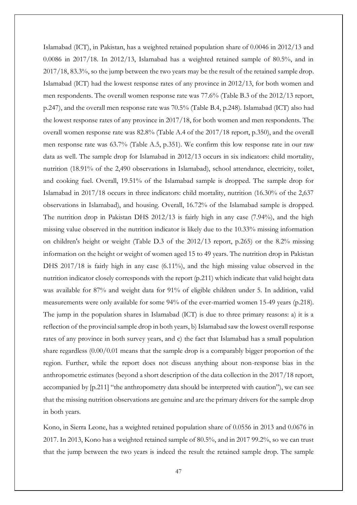Islamabad (ICT), in Pakistan, has a weighted retained population share of 0.0046 in 2012/13 and 0.0086 in 2017/18. In 2012/13, Islamabad has a weighted retained sample of 80.5%, and in 2017/18, 83.3%, so the jump between the two years may be the result of the retained sample drop. Islamabad (ICT) had the lowest response rates of any province in 2012/13, for both women and men respondents. The overall women response rate was 77.6% (Table B.3 of the 2012/13 report, p.247), and the overall men response rate was 70.5% (Table B.4, p.248). Islamabad (ICT) also had the lowest response rates of any province in 2017/18, for both women and men respondents. The overall women response rate was 82.8% (Table A.4 of the 2017/18 report, p.350), and the overall men response rate was 63.7% (Table A.5, p.351). We confirm this low response rate in our raw data as well. The sample drop for Islamabad in 2012/13 occurs in six indicators: child mortality, nutrition (18.91% of the 2,490 observations in Islamabad), school attendance, electricity, toilet, and cooking fuel. Overall, 19.51% of the Islamabad sample is dropped. The sample drop for Islamabad in 2017/18 occurs in three indicators: child mortality, nutrition (16.30% of the 2,637 observations in Islamabad), and housing. Overall, 16.72% of the Islamabad sample is dropped. The nutrition drop in Pakistan DHS 2012/13 is fairly high in any case (7.94%), and the high missing value observed in the nutrition indicator is likely due to the 10.33% missing information on children's height or weight (Table D.3 of the 2012/13 report, p.265) or the 8.2% missing information on the height or weight of women aged 15 to 49 years. The nutrition drop in Pakistan DHS 2017/18 is fairly high in any case (6.11%), and the high missing value observed in the nutrition indicator closely corresponds with the report (p.211) which indicate that valid height data was available for 87% and weight data for 91% of eligible children under 5. In addition, valid measurements were only available for some 94% of the ever-married women 15-49 years (p.218). The jump in the population shares in Islamabad (ICT) is due to three primary reasons: a) it is a reflection of the provincial sample drop in both years, b) Islamabad saw the lowest overall response rates of any province in both survey years, and c) the fact that Islamabad has a small population share regardless (0.00/0.01 means that the sample drop is a comparably bigger proportion of the region. Further, while the report does not discuss anything about non-response bias in the anthropometric estimates (beyond a short description of the data collection in the 2017/18 report, accompanied by [p.211] "the anthropometry data should be interpreted with caution"), we can see that the missing nutrition observations are genuine and are the primary drivers for the sample drop in both years.

Kono, in Sierra Leone, has a weighted retained population share of 0.0556 in 2013 and 0.0676 in 2017. In 2013, Kono has a weighted retained sample of 80.5%, and in 2017 99.2%, so we can trust that the jump between the two years is indeed the result the retained sample drop. The sample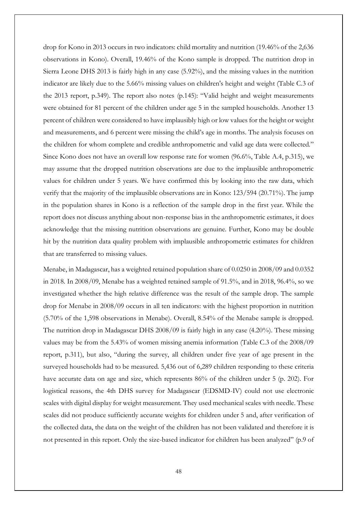drop for Kono in 2013 occurs in two indicators: child mortality and nutrition (19.46% of the 2,636 observations in Kono). Overall, 19.46% of the Kono sample is dropped. The nutrition drop in Sierra Leone DHS 2013 is fairly high in any case (5.92%), and the missing values in the nutrition indicator are likely due to the 5.66% missing values on children's height and weight (Table C.3 of the 2013 report, p.349). The report also notes (p.145): "Valid height and weight measurements were obtained for 81 percent of the children under age 5 in the sampled households. Another 13 percent of children were considered to have implausibly high or low values for the height or weight and measurements, and 6 percent were missing the child's age in months. The analysis focuses on the children for whom complete and credible anthropometric and valid age data were collected." Since Kono does not have an overall low response rate for women (96.6%, Table A.4, p.315), we may assume that the dropped nutrition observations are due to the implausible anthropometric values for children under 5 years. We have confirmed this by looking into the raw data, which verify that the majority of the implausible observations are in Kono: 123/594 (20.71%). The jump in the population shares in Kono is a reflection of the sample drop in the first year. While the report does not discuss anything about non-response bias in the anthropometric estimates, it does acknowledge that the missing nutrition observations are genuine. Further, Kono may be double hit by the nutrition data quality problem with implausible anthropometric estimates for children that are transferred to missing values.

Menabe, in Madagascar, has a weighted retained population share of 0.0250 in 2008/09 and 0.0352 in 2018. In 2008/09, Menabe has a weighted retained sample of 91.5%, and in 2018, 96.4%, so we investigated whether the high relative difference was the result of the sample drop. The sample drop for Menabe in 2008/09 occurs in all ten indicators: with the highest proportion in nutrition (5.70% of the 1,598 observations in Menabe). Overall, 8.54% of the Menabe sample is dropped. The nutrition drop in Madagascar DHS 2008/09 is fairly high in any case (4.20%). These missing values may be from the 5.43% of women missing anemia information (Table C.3 of the 2008/09 report, p.311), but also, "during the survey, all children under five year of age present in the surveyed households had to be measured. 5,436 out of 6,289 children responding to these criteria have accurate data on age and size, which represents 86% of the children under 5 (p. 202). For logistical reasons, the 4th DHS survey for Madagascar (EDSMD-IV) could not use electronic scales with digital display for weight measurement. They used mechanical scales with needle. These scales did not produce sufficiently accurate weights for children under 5 and, after verification of the collected data, the data on the weight of the children has not been validated and therefore it is not presented in this report. Only the size-based indicator for children has been analyzed" (p.9 of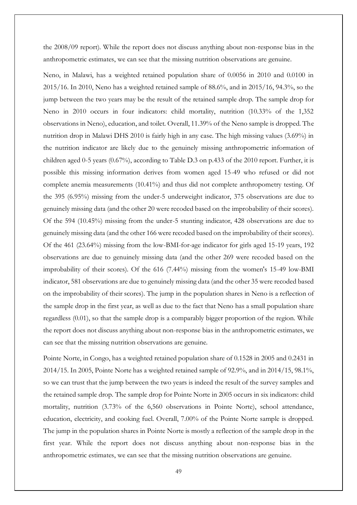the 2008/09 report). While the report does not discuss anything about non-response bias in the anthropometric estimates, we can see that the missing nutrition observations are genuine.

Neno, in Malawi, has a weighted retained population share of 0.0056 in 2010 and 0.0100 in 2015/16. In 2010, Neno has a weighted retained sample of 88.6%, and in 2015/16, 94.3%, so the jump between the two years may be the result of the retained sample drop. The sample drop for Neno in 2010 occurs in four indicators: child mortality, nutrition (10.33% of the 1,352 observations in Neno), education, and toilet. Overall, 11.39% of the Neno sample is dropped. The nutrition drop in Malawi DHS 2010 is fairly high in any case. The high missing values (3.69%) in the nutrition indicator are likely due to the genuinely missing anthropometric information of children aged 0-5 years (0.67%), according to Table D.3 on p.433 of the 2010 report. Further, it is possible this missing information derives from women aged 15-49 who refused or did not complete anemia measurements (10.41%) and thus did not complete anthropometry testing. Of the 395 (6.95%) missing from the under-5 underweight indicator, 375 observations are due to genuinely missing data (and the other 20 were recoded based on the improbability of their scores). Of the 594 (10.45%) missing from the under-5 stunting indicator, 428 observations are due to genuinely missing data (and the other 166 were recoded based on the improbability of their scores). Of the 461 (23.64%) missing from the low-BMI-for-age indicator for girls aged 15-19 years, 192 observations are due to genuinely missing data (and the other 269 were recoded based on the improbability of their scores). Of the 616 (7.44%) missing from the women's 15-49 low-BMI indicator, 581 observations are due to genuinely missing data (and the other 35 were recoded based on the improbability of their scores). The jump in the population shares in Neno is a reflection of the sample drop in the first year, as well as due to the fact that Neno has a small population share regardless (0.01), so that the sample drop is a comparably bigger proportion of the region. While the report does not discuss anything about non-response bias in the anthropometric estimates, we can see that the missing nutrition observations are genuine.

Pointe Norte, in Congo, has a weighted retained population share of 0.1528 in 2005 and 0.2431 in 2014/15. In 2005, Pointe Norte has a weighted retained sample of 92.9%, and in 2014/15, 98.1%, so we can trust that the jump between the two years is indeed the result of the survey samples and the retained sample drop. The sample drop for Pointe Norte in 2005 occurs in six indicators: child mortality, nutrition (3.73% of the 6,560 observations in Pointe Norte), school attendance, education, electricity, and cooking fuel. Overall, 7.00% of the Pointe Norte sample is dropped. The jump in the population shares in Pointe Norte is mostly a reflection of the sample drop in the first year. While the report does not discuss anything about non-response bias in the anthropometric estimates, we can see that the missing nutrition observations are genuine.